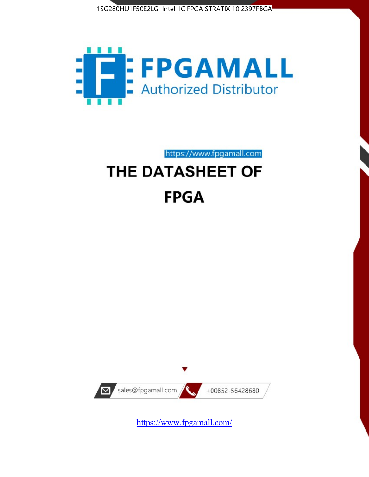



https://www.fpgamall.com

# THE DATASHEET OF **FPGA**



<https://www.fpgamall.com/>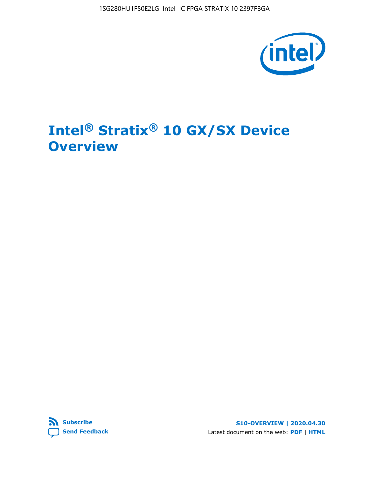1SG280HU1F50E2LG Intel IC FPGA STRATIX 10 2397FBGA



# **Intel® Stratix® 10 GX/SX Device Overview**



**S10-OVERVIEW | 2020.04.30** Latest document on the web: **[PDF](https://www.intel.com/content/dam/www/programmable/us/en/pdfs/literature/hb/stratix-10/s10-overview.pdf)** | **[HTML](https://www.intel.com/content/www/us/en/programmable/documentation/joc1442261161666.html)**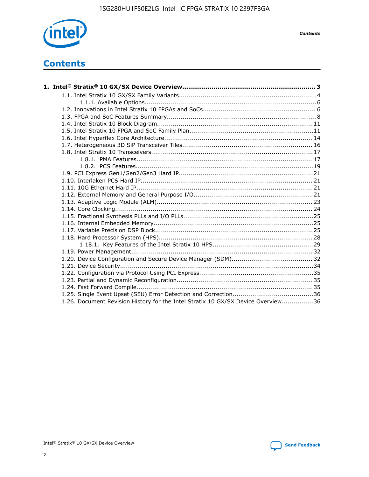

*Contents*

# **Contents**

| 1.26. Document Revision History for the Intel Stratix 10 GX/SX Device Overview36 |  |
|----------------------------------------------------------------------------------|--|

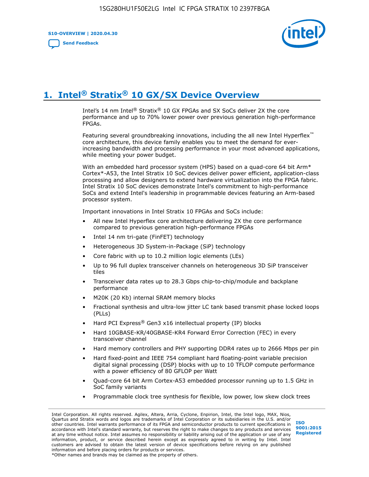**S10-OVERVIEW | 2020.04.30**

**[Send Feedback](mailto:FPGAtechdocfeedback@intel.com?subject=Feedback%20on%20Intel%20Stratix%2010%20GX/SX%20Device%20Overview%20(S10-OVERVIEW%202020.04.30)&body=We%20appreciate%20your%20feedback.%20In%20your%20comments,%20also%20specify%20the%20page%20number%20or%20paragraph.%20Thank%20you.)**



# **1. Intel® Stratix® 10 GX/SX Device Overview**

Intel's 14 nm Intel® Stratix® 10 GX FPGAs and SX SoCs deliver 2X the core performance and up to 70% lower power over previous generation high-performance FPGAs.

Featuring several groundbreaking innovations, including the all new Intel Hyperflex™ core architecture, this device family enables you to meet the demand for everincreasing bandwidth and processing performance in your most advanced applications, while meeting your power budget.

With an embedded hard processor system (HPS) based on a quad-core 64 bit Arm\* Cortex\*-A53, the Intel Stratix 10 SoC devices deliver power efficient, application-class processing and allow designers to extend hardware virtualization into the FPGA fabric. Intel Stratix 10 SoC devices demonstrate Intel's commitment to high-performance SoCs and extend Intel's leadership in programmable devices featuring an Arm-based processor system.

Important innovations in Intel Stratix 10 FPGAs and SoCs include:

- All new Intel Hyperflex core architecture delivering 2X the core performance compared to previous generation high-performance FPGAs
- Intel 14 nm tri-gate (FinFET) technology
- Heterogeneous 3D System-in-Package (SiP) technology
- Core fabric with up to 10.2 million logic elements (LEs)
- Up to 96 full duplex transceiver channels on heterogeneous 3D SiP transceiver tiles
- Transceiver data rates up to 28.3 Gbps chip-to-chip/module and backplane performance
- M20K (20 Kb) internal SRAM memory blocks
- Fractional synthesis and ultra-low jitter LC tank based transmit phase locked loops (PLLs)
- Hard PCI Express<sup>®</sup> Gen3 x16 intellectual property (IP) blocks
- Hard 10GBASE-KR/40GBASE-KR4 Forward Error Correction (FEC) in every transceiver channel
- Hard memory controllers and PHY supporting DDR4 rates up to 2666 Mbps per pin
- Hard fixed-point and IEEE 754 compliant hard floating-point variable precision digital signal processing (DSP) blocks with up to 10 TFLOP compute performance with a power efficiency of 80 GFLOP per Watt
- Quad-core 64 bit Arm Cortex-A53 embedded processor running up to 1.5 GHz in SoC family variants
- Programmable clock tree synthesis for flexible, low power, low skew clock trees

Intel Corporation. All rights reserved. Agilex, Altera, Arria, Cyclone, Enpirion, Intel, the Intel logo, MAX, Nios, Quartus and Stratix words and logos are trademarks of Intel Corporation or its subsidiaries in the U.S. and/or other countries. Intel warrants performance of its FPGA and semiconductor products to current specifications in accordance with Intel's standard warranty, but reserves the right to make changes to any products and services at any time without notice. Intel assumes no responsibility or liability arising out of the application or use of any information, product, or service described herein except as expressly agreed to in writing by Intel. Intel customers are advised to obtain the latest version of device specifications before relying on any published information and before placing orders for products or services. \*Other names and brands may be claimed as the property of others.

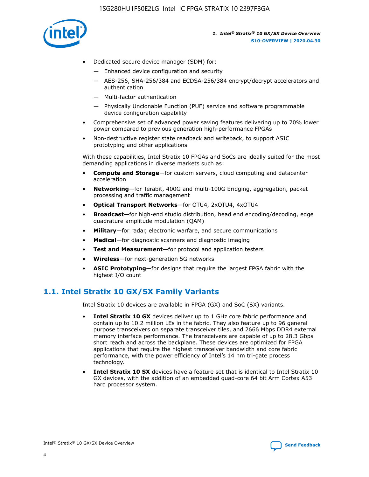

- Dedicated secure device manager (SDM) for:
	- Enhanced device configuration and security
	- AES-256, SHA-256/384 and ECDSA-256/384 encrypt/decrypt accelerators and authentication
	- Multi-factor authentication
	- Physically Unclonable Function (PUF) service and software programmable device configuration capability
- Comprehensive set of advanced power saving features delivering up to 70% lower power compared to previous generation high-performance FPGAs
- Non-destructive register state readback and writeback, to support ASIC prototyping and other applications

With these capabilities, Intel Stratix 10 FPGAs and SoCs are ideally suited for the most demanding applications in diverse markets such as:

- **Compute and Storage**—for custom servers, cloud computing and datacenter acceleration
- **Networking**—for Terabit, 400G and multi-100G bridging, aggregation, packet processing and traffic management
- **Optical Transport Networks**—for OTU4, 2xOTU4, 4xOTU4
- **Broadcast**—for high-end studio distribution, head end encoding/decoding, edge quadrature amplitude modulation (QAM)
- **Military**—for radar, electronic warfare, and secure communications
- **Medical**—for diagnostic scanners and diagnostic imaging
- **Test and Measurement**—for protocol and application testers
- **Wireless**—for next-generation 5G networks
- **ASIC Prototyping**—for designs that require the largest FPGA fabric with the highest I/O count

# **1.1. Intel Stratix 10 GX/SX Family Variants**

Intel Stratix 10 devices are available in FPGA (GX) and SoC (SX) variants.

- **Intel Stratix 10 GX** devices deliver up to 1 GHz core fabric performance and contain up to 10.2 million LEs in the fabric. They also feature up to 96 general purpose transceivers on separate transceiver tiles, and 2666 Mbps DDR4 external memory interface performance. The transceivers are capable of up to 28.3 Gbps short reach and across the backplane. These devices are optimized for FPGA applications that require the highest transceiver bandwidth and core fabric performance, with the power efficiency of Intel's 14 nm tri-gate process technology.
- **Intel Stratix 10 SX** devices have a feature set that is identical to Intel Stratix 10 GX devices, with the addition of an embedded quad-core 64 bit Arm Cortex A53 hard processor system.

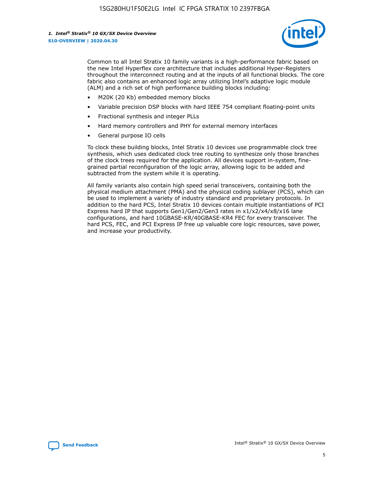

Common to all Intel Stratix 10 family variants is a high-performance fabric based on the new Intel Hyperflex core architecture that includes additional Hyper-Registers throughout the interconnect routing and at the inputs of all functional blocks. The core fabric also contains an enhanced logic array utilizing Intel's adaptive logic module (ALM) and a rich set of high performance building blocks including:

- M20K (20 Kb) embedded memory blocks
- Variable precision DSP blocks with hard IEEE 754 compliant floating-point units
- Fractional synthesis and integer PLLs
- Hard memory controllers and PHY for external memory interfaces
- General purpose IO cells

To clock these building blocks, Intel Stratix 10 devices use programmable clock tree synthesis, which uses dedicated clock tree routing to synthesize only those branches of the clock trees required for the application. All devices support in-system, finegrained partial reconfiguration of the logic array, allowing logic to be added and subtracted from the system while it is operating.

All family variants also contain high speed serial transceivers, containing both the physical medium attachment (PMA) and the physical coding sublayer (PCS), which can be used to implement a variety of industry standard and proprietary protocols. In addition to the hard PCS, Intel Stratix 10 devices contain multiple instantiations of PCI Express hard IP that supports Gen1/Gen2/Gen3 rates in x1/x2/x4/x8/x16 lane configurations, and hard 10GBASE-KR/40GBASE-KR4 FEC for every transceiver. The hard PCS, FEC, and PCI Express IP free up valuable core logic resources, save power, and increase your productivity.

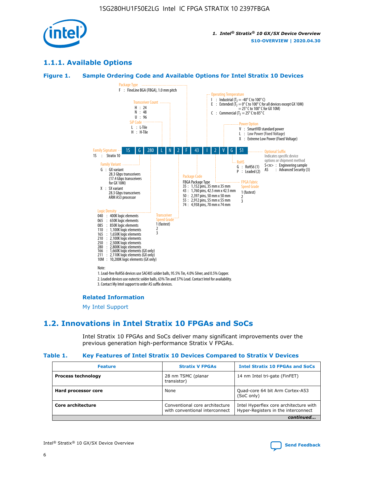

# **1.1.1. Available Options**

#### **Figure 1. Sample Ordering Code and Available Options for Intel Stratix 10 Devices**



# **Related Information**

[My Intel Support](https://www.intel.com/content/www/us/en/programmable/my-intel/mal-home.html)

# **1.2. Innovations in Intel Stratix 10 FPGAs and SoCs**

Intel Stratix 10 FPGAs and SoCs deliver many significant improvements over the previous generation high-performance Stratix V FPGAs.

#### **Table 1. Key Features of Intel Stratix 10 Devices Compared to Stratix V Devices**

| <b>Feature</b>            | <b>Stratix V FPGAs</b>                                           | <b>Intel Stratix 10 FPGAs and SoCs</b>                                        |  |  |  |
|---------------------------|------------------------------------------------------------------|-------------------------------------------------------------------------------|--|--|--|
| <b>Process technology</b> | 28 nm TSMC (planar<br>transistor)                                | 14 nm Intel tri-gate (FinFET)                                                 |  |  |  |
| Hard processor core       | None                                                             | Quad-core 64 bit Arm Cortex-A53<br>(SoC only)                                 |  |  |  |
| Core architecture         | Conventional core architecture<br>with conventional interconnect | Intel Hyperflex core architecture with<br>Hyper-Registers in the interconnect |  |  |  |
| continued                 |                                                                  |                                                                               |  |  |  |

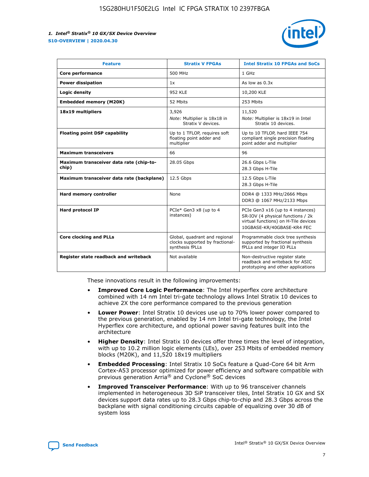

| <b>Feature</b>                                   | <b>Stratix V FPGAs</b>                                                              | <b>Intel Stratix 10 FPGAs and SoCs</b>                                                                                                       |
|--------------------------------------------------|-------------------------------------------------------------------------------------|----------------------------------------------------------------------------------------------------------------------------------------------|
| Core performance                                 | 500 MHz                                                                             | 1 GHz                                                                                                                                        |
| <b>Power dissipation</b>                         | 1x                                                                                  | As low as $0.3x$                                                                                                                             |
| Logic density                                    | 952 KLE                                                                             | 10,200 KLE                                                                                                                                   |
| <b>Embedded memory (M20K)</b>                    | 52 Mbits                                                                            | 253 Mbits                                                                                                                                    |
| 18x19 multipliers                                | 3,926                                                                               | 11,520                                                                                                                                       |
|                                                  | Note: Multiplier is 18x18 in<br>Stratix V devices.                                  | Note: Multiplier is 18x19 in Intel<br>Stratix 10 devices.                                                                                    |
| <b>Floating point DSP capability</b>             | Up to 1 TFLOP, requires soft<br>floating point adder and<br>multiplier              | Up to 10 TFLOP, hard IEEE 754<br>compliant single precision floating<br>point adder and multiplier                                           |
| <b>Maximum transceivers</b>                      | 66                                                                                  | 96                                                                                                                                           |
| Maximum transceiver data rate (chip-to-<br>chip) | 28.05 Gbps                                                                          | 26.6 Gbps L-Tile<br>28.3 Gbps H-Tile                                                                                                         |
| Maximum transceiver data rate (backplane)        | 12.5 Gbps                                                                           | 12.5 Gbps L-Tile<br>28.3 Gbps H-Tile                                                                                                         |
| Hard memory controller                           | None                                                                                | DDR4 @ 1333 MHz/2666 Mbps<br>DDR3 @ 1067 MHz/2133 Mbps                                                                                       |
| <b>Hard protocol IP</b>                          | PCIe* Gen3 x8 (up to 4<br>instances)                                                | PCIe Gen3 x16 (up to 4 instances)<br>SR-IOV (4 physical functions / 2k<br>virtual functions) on H-Tile devices<br>10GBASE-KR/40GBASE-KR4 FEC |
| <b>Core clocking and PLLs</b>                    | Global, quadrant and regional<br>clocks supported by fractional-<br>synthesis fPLLs | Programmable clock tree synthesis<br>supported by fractional synthesis<br>fPLLs and integer IO PLLs                                          |
| Register state readback and writeback            | Not available                                                                       | Non-destructive register state<br>readback and writeback for ASIC<br>prototyping and other applications                                      |

These innovations result in the following improvements:

- **Improved Core Logic Performance**: The Intel Hyperflex core architecture combined with 14 nm Intel tri-gate technology allows Intel Stratix 10 devices to achieve 2X the core performance compared to the previous generation
- **Lower Power**: Intel Stratix 10 devices use up to 70% lower power compared to the previous generation, enabled by 14 nm Intel tri-gate technology, the Intel Hyperflex core architecture, and optional power saving features built into the architecture
- **Higher Density**: Intel Stratix 10 devices offer three times the level of integration, with up to 10.2 million logic elements (LEs), over 253 Mbits of embedded memory blocks (M20K), and 11,520 18x19 multipliers
- **Embedded Processing**: Intel Stratix 10 SoCs feature a Quad-Core 64 bit Arm Cortex-A53 processor optimized for power efficiency and software compatible with previous generation Arria® and Cyclone® SoC devices
- **Improved Transceiver Performance**: With up to 96 transceiver channels implemented in heterogeneous 3D SiP transceiver tiles, Intel Stratix 10 GX and SX devices support data rates up to 28.3 Gbps chip-to-chip and 28.3 Gbps across the backplane with signal conditioning circuits capable of equalizing over 30 dB of system loss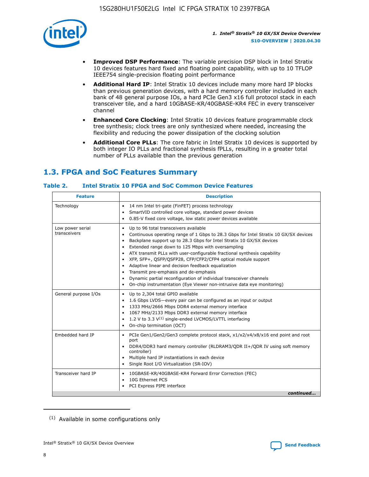

- **Improved DSP Performance**: The variable precision DSP block in Intel Stratix 10 devices features hard fixed and floating point capability, with up to 10 TFLOP IEEE754 single-precision floating point performance
- **Additional Hard IP**: Intel Stratix 10 devices include many more hard IP blocks than previous generation devices, with a hard memory controller included in each bank of 48 general purpose IOs, a hard PCIe Gen3 x16 full protocol stack in each transceiver tile, and a hard 10GBASE-KR/40GBASE-KR4 FEC in every transceiver channel
- **Enhanced Core Clocking**: Intel Stratix 10 devices feature programmable clock tree synthesis; clock trees are only synthesized where needed, increasing the flexibility and reducing the power dissipation of the clocking solution
- **Additional Core PLLs**: The core fabric in Intel Stratix 10 devices is supported by both integer IO PLLs and fractional synthesis fPLLs, resulting in a greater total number of PLLs available than the previous generation

# **1.3. FPGA and SoC Features Summary**

#### **Table 2. Intel Stratix 10 FPGA and SoC Common Device Features**

| Technology<br>14 nm Intel tri-gate (FinFET) process technology<br>٠<br>SmartVID controlled core voltage, standard power devices<br>0.85-V fixed core voltage, low static power devices available<br>Up to 96 total transceivers available<br>Low power serial<br>٠<br>transceivers<br>Continuous operating range of 1 Gbps to 28.3 Gbps for Intel Stratix 10 GX/SX devices<br>Backplane support up to 28.3 Gbps for Intel Stratix 10 GX/SX devices<br>$\bullet$<br>Extended range down to 125 Mbps with oversampling<br>$\bullet$<br>• ATX transmit PLLs with user-configurable fractional synthesis capability<br>XFP, SFP+, QSFP/QSFP28, CFP/CFP2/CFP4 optical module support<br>• Adaptive linear and decision feedback equalization<br>Transmit pre-emphasis and de-emphasis<br>Dynamic partial reconfiguration of individual transceiver channels<br>$\bullet$<br>On-chip instrumentation (Eye Viewer non-intrusive data eye monitoring)<br>General purpose I/Os<br>Up to 2,304 total GPIO available<br>$\bullet$<br>1.6 Gbps LVDS-every pair can be configured as an input or output<br>1333 MHz/2666 Mbps DDR4 external memory interface<br>1067 MHz/2133 Mbps DDR3 external memory interface<br>• 1.2 V to 3.3 $V^{(1)}$ single-ended LVCMOS/LVTTL interfacing<br>• On-chip termination (OCT)<br>Embedded hard IP<br>PCIe Gen1/Gen2/Gen3 complete protocol stack, x1/x2/x4/x8/x16 end point and root<br>$\bullet$<br>port<br>DDR4/DDR3 hard memory controller (RLDRAM3/QDR II+/QDR IV using soft memory<br>controller)<br>Multiple hard IP instantiations in each device<br>• Single Root I/O Virtualization (SR-IOV)<br>Transceiver hard IP<br>10GBASE-KR/40GBASE-KR4 Forward Error Correction (FEC)<br>$\bullet$<br>10G Ethernet PCS<br>$\bullet$ | <b>Description</b><br><b>Feature</b> |  |  |  |
|-------------------------------------------------------------------------------------------------------------------------------------------------------------------------------------------------------------------------------------------------------------------------------------------------------------------------------------------------------------------------------------------------------------------------------------------------------------------------------------------------------------------------------------------------------------------------------------------------------------------------------------------------------------------------------------------------------------------------------------------------------------------------------------------------------------------------------------------------------------------------------------------------------------------------------------------------------------------------------------------------------------------------------------------------------------------------------------------------------------------------------------------------------------------------------------------------------------------------------------------------------------------------------------------------------------------------------------------------------------------------------------------------------------------------------------------------------------------------------------------------------------------------------------------------------------------------------------------------------------------------------------------------------------------------------------------------------------------------------------------------------------|--------------------------------------|--|--|--|
|                                                                                                                                                                                                                                                                                                                                                                                                                                                                                                                                                                                                                                                                                                                                                                                                                                                                                                                                                                                                                                                                                                                                                                                                                                                                                                                                                                                                                                                                                                                                                                                                                                                                                                                                                             |                                      |  |  |  |
|                                                                                                                                                                                                                                                                                                                                                                                                                                                                                                                                                                                                                                                                                                                                                                                                                                                                                                                                                                                                                                                                                                                                                                                                                                                                                                                                                                                                                                                                                                                                                                                                                                                                                                                                                             |                                      |  |  |  |
|                                                                                                                                                                                                                                                                                                                                                                                                                                                                                                                                                                                                                                                                                                                                                                                                                                                                                                                                                                                                                                                                                                                                                                                                                                                                                                                                                                                                                                                                                                                                                                                                                                                                                                                                                             |                                      |  |  |  |
|                                                                                                                                                                                                                                                                                                                                                                                                                                                                                                                                                                                                                                                                                                                                                                                                                                                                                                                                                                                                                                                                                                                                                                                                                                                                                                                                                                                                                                                                                                                                                                                                                                                                                                                                                             |                                      |  |  |  |
| PCI Express PIPE interface<br>continued                                                                                                                                                                                                                                                                                                                                                                                                                                                                                                                                                                                                                                                                                                                                                                                                                                                                                                                                                                                                                                                                                                                                                                                                                                                                                                                                                                                                                                                                                                                                                                                                                                                                                                                     |                                      |  |  |  |

<sup>(1)</sup> Available in some configurations only

8

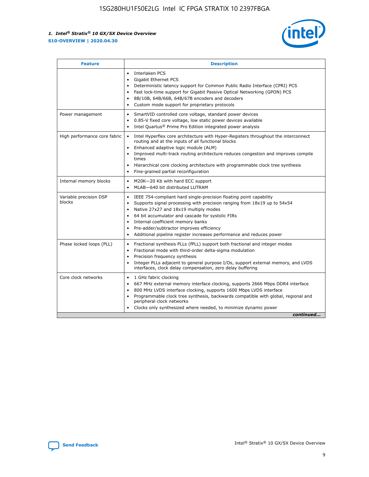

| <b>Feature</b>                   | <b>Description</b>                                                                                                                                                                                                                                                                                                                                                                                                                                                    |
|----------------------------------|-----------------------------------------------------------------------------------------------------------------------------------------------------------------------------------------------------------------------------------------------------------------------------------------------------------------------------------------------------------------------------------------------------------------------------------------------------------------------|
|                                  | Interlaken PCS<br>$\bullet$<br>Gigabit Ethernet PCS<br>$\bullet$<br>Deterministic latency support for Common Public Radio Interface (CPRI) PCS<br>$\bullet$<br>Fast lock-time support for Gigabit Passive Optical Networking (GPON) PCS<br>$\bullet$<br>8B/10B, 64B/66B, 64B/67B encoders and decoders<br>$\bullet$<br>Custom mode support for proprietary protocols<br>$\bullet$                                                                                     |
| Power management                 | SmartVID controlled core voltage, standard power devices<br>$\bullet$<br>0.85-V fixed core voltage, low static power devices available<br>$\bullet$<br>Intel Quartus <sup>®</sup> Prime Pro Edition integrated power analysis<br>$\bullet$                                                                                                                                                                                                                            |
| High performance core fabric     | Intel Hyperflex core architecture with Hyper-Registers throughout the interconnect<br>$\bullet$<br>routing and at the inputs of all functional blocks<br>Enhanced adaptive logic module (ALM)<br>$\bullet$<br>Improved multi-track routing architecture reduces congestion and improves compile<br>times<br>Hierarchical core clocking architecture with programmable clock tree synthesis<br>Fine-grained partial reconfiguration                                    |
| Internal memory blocks           | M20K-20 Kb with hard ECC support<br>٠<br>MLAB-640 bit distributed LUTRAM<br>$\bullet$                                                                                                                                                                                                                                                                                                                                                                                 |
| Variable precision DSP<br>blocks | IEEE 754-compliant hard single-precision floating point capability<br>$\bullet$<br>Supports signal processing with precision ranging from 18x19 up to 54x54<br>$\bullet$<br>Native 27x27 and 18x19 multiply modes<br>$\bullet$<br>64 bit accumulator and cascade for systolic FIRs<br>Internal coefficient memory banks<br>Pre-adder/subtractor improves efficiency<br>$\bullet$<br>Additional pipeline register increases performance and reduces power<br>$\bullet$ |
| Phase locked loops (PLL)         | Fractional synthesis PLLs (fPLL) support both fractional and integer modes<br>$\bullet$<br>Fractional mode with third-order delta-sigma modulation<br>Precision frequency synthesis<br>$\bullet$<br>Integer PLLs adjacent to general purpose I/Os, support external memory, and LVDS<br>$\bullet$<br>interfaces, clock delay compensation, zero delay buffering                                                                                                       |
| Core clock networks              | 1 GHz fabric clocking<br>$\bullet$<br>667 MHz external memory interface clocking, supports 2666 Mbps DDR4 interface<br>$\bullet$<br>800 MHz LVDS interface clocking, supports 1600 Mbps LVDS interface<br>$\bullet$<br>Programmable clock tree synthesis, backwards compatible with global, regional and<br>$\bullet$<br>peripheral clock networks<br>Clocks only synthesized where needed, to minimize dynamic power<br>continued                                    |

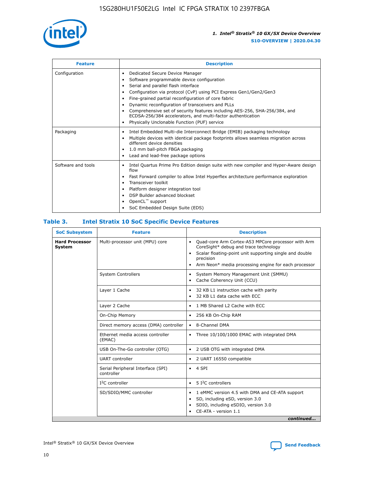

| <b>Feature</b>     | <b>Description</b>                                                                                                                                                                                                                                                                                                                                                                                                                                                                                                    |
|--------------------|-----------------------------------------------------------------------------------------------------------------------------------------------------------------------------------------------------------------------------------------------------------------------------------------------------------------------------------------------------------------------------------------------------------------------------------------------------------------------------------------------------------------------|
| Configuration      | Dedicated Secure Device Manager<br>٠<br>Software programmable device configuration<br>٠<br>Serial and parallel flash interface<br>٠<br>Configuration via protocol (CvP) using PCI Express Gen1/Gen2/Gen3<br>Fine-grained partial reconfiguration of core fabric<br>Dynamic reconfiguration of transceivers and PLLs<br>٠<br>Comprehensive set of security features including AES-256, SHA-256/384, and<br>ECDSA-256/384 accelerators, and multi-factor authentication<br>Physically Unclonable Function (PUF) service |
| Packaging          | Intel Embedded Multi-die Interconnect Bridge (EMIB) packaging technology<br>٠<br>Multiple devices with identical package footprints allows seamless migration across<br>٠<br>different device densities<br>1.0 mm ball-pitch FBGA packaging<br>٠<br>Lead and lead-free package options                                                                                                                                                                                                                                |
| Software and tools | Intel Quartus Prime Pro Edition design suite with new compiler and Hyper-Aware design<br>flow<br>Fast Forward compiler to allow Intel Hyperflex architecture performance exploration<br>٠<br>Transceiver toolkit<br>Platform designer integration tool<br>DSP Builder advanced blockset<br>OpenCL <sup>™</sup> support<br>SoC Embedded Design Suite (EDS)                                                                                                                                                             |

#### **Table 3. Intel Stratix 10 SoC Specific Device Features**

| <b>SoC Subsystem</b>            | <b>Feature</b>                                  | <b>Description</b>                                                                                                                                                                                                                                         |
|---------------------------------|-------------------------------------------------|------------------------------------------------------------------------------------------------------------------------------------------------------------------------------------------------------------------------------------------------------------|
| <b>Hard Processor</b><br>System | Multi-processor unit (MPU) core                 | Quad-core Arm Cortex-A53 MPCore processor with Arm<br>$\bullet$<br>CoreSight* debug and trace technology<br>Scalar floating-point unit supporting single and double<br>٠<br>precision<br>Arm Neon* media processing engine for each processor<br>$\bullet$ |
|                                 | <b>System Controllers</b>                       | System Memory Management Unit (SMMU)<br>٠<br>Cache Coherency Unit (CCU)<br>٠                                                                                                                                                                               |
|                                 | Layer 1 Cache                                   | 32 KB L1 instruction cache with parity<br>$\bullet$<br>32 KB L1 data cache with ECC<br>$\bullet$                                                                                                                                                           |
|                                 | Layer 2 Cache                                   | 1 MB Shared L2 Cache with ECC<br>$\bullet$                                                                                                                                                                                                                 |
|                                 | On-Chip Memory                                  | 256 KB On-Chip RAM<br>$\bullet$                                                                                                                                                                                                                            |
|                                 | Direct memory access (DMA) controller           | • 8-Channel DMA                                                                                                                                                                                                                                            |
|                                 | Ethernet media access controller<br>(EMAC)      | Three 10/100/1000 EMAC with integrated DMA<br>$\bullet$                                                                                                                                                                                                    |
|                                 | USB On-The-Go controller (OTG)                  | 2 USB OTG with integrated DMA<br>$\bullet$                                                                                                                                                                                                                 |
|                                 | <b>UART</b> controller                          | 2 UART 16550 compatible<br>$\bullet$                                                                                                                                                                                                                       |
|                                 | Serial Peripheral Interface (SPI)<br>controller | $\bullet$ 4 SPI                                                                                                                                                                                                                                            |
|                                 | $I2C$ controller                                | 5 <sup>2</sup> C controllers                                                                                                                                                                                                                               |
|                                 | SD/SDIO/MMC controller                          | 1 eMMC version 4.5 with DMA and CE-ATA support<br>$\bullet$<br>SD, including eSD, version 3.0<br>٠<br>SDIO, including eSDIO, version 3.0<br>$\bullet$<br>CE-ATA - version 1.1<br>continued                                                                 |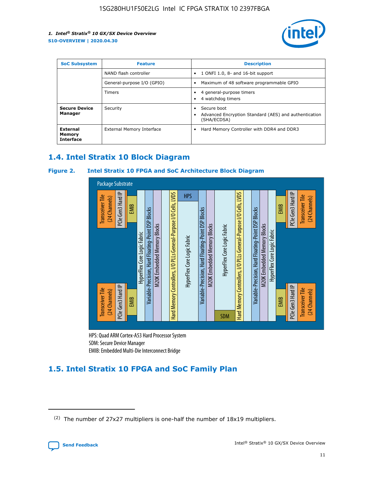

| <b>SoC Subsystem</b><br><b>Feature</b> |                            | <b>Description</b>                                                                                    |  |  |
|----------------------------------------|----------------------------|-------------------------------------------------------------------------------------------------------|--|--|
|                                        | NAND flash controller      | 1 ONFI 1.0, 8- and 16-bit support<br>$\bullet$                                                        |  |  |
|                                        | General-purpose I/O (GPIO) | Maximum of 48 software programmable GPIO<br>$\bullet$                                                 |  |  |
|                                        | Timers                     | 4 general-purpose timers<br>4 watchdog timers<br>٠                                                    |  |  |
| <b>Secure Device</b><br>Manager        | Security                   | Secure boot<br>$\bullet$<br>Advanced Encryption Standard (AES) and authentication<br>٠<br>(SHA/ECDSA) |  |  |
| External<br>Memory<br><b>Interface</b> | External Memory Interface  | Hard Memory Controller with DDR4 and DDR3<br>$\bullet$                                                |  |  |

# **1.4. Intel Stratix 10 Block Diagram**

#### **Figure 2. Intel Stratix 10 FPGA and SoC Architecture Block Diagram**



HPS: Quad ARM Cortex-A53 Hard Processor System SDM: Secure Device Manager

# **1.5. Intel Stratix 10 FPGA and SoC Family Plan**

<sup>(2)</sup> The number of 27x27 multipliers is one-half the number of 18x19 multipliers.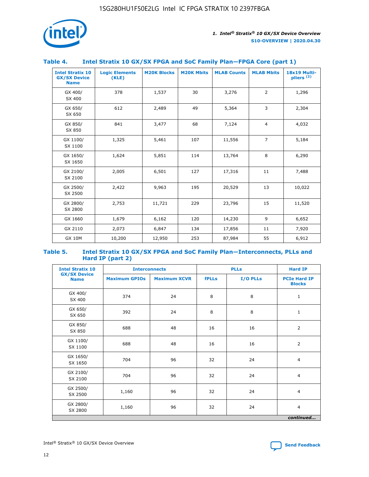

#### **Table 4. Intel Stratix 10 GX/SX FPGA and SoC Family Plan—FPGA Core (part 1)**

| <b>Intel Stratix 10</b><br><b>GX/SX Device</b><br><b>Name</b> | <b>Logic Elements</b><br>(KLE) | <b>M20K Blocks</b> | <b>M20K Mbits</b> | <b>MLAB Counts</b> | <b>MLAB Mbits</b> | 18x19 Multi-<br>pliers <sup>(2)</sup> |
|---------------------------------------------------------------|--------------------------------|--------------------|-------------------|--------------------|-------------------|---------------------------------------|
| GX 400/<br>SX 400                                             | 378                            | 1,537              | 30                | 3,276              | $\overline{2}$    | 1,296                                 |
| GX 650/<br>SX 650                                             | 612                            | 2,489              | 49                | 5,364              | 3                 | 2,304                                 |
| GX 850/<br>SX 850                                             | 841                            | 3,477              | 68                | 7,124              | $\overline{4}$    | 4,032                                 |
| GX 1100/<br>SX 1100                                           | 1,325                          | 5,461              | 107               | 11,556             | $\overline{7}$    | 5,184                                 |
| GX 1650/<br>SX 1650                                           | 1,624                          | 5,851              | 114               | 13,764             | 8                 | 6,290                                 |
| GX 2100/<br>SX 2100                                           | 2,005                          | 6,501              | 127               | 17,316             | 11                | 7,488                                 |
| GX 2500/<br>SX 2500                                           | 2,422                          | 9,963              | 195               | 20,529             | 13                | 10,022                                |
| GX 2800/<br>SX 2800                                           | 2,753                          | 11,721             | 229               | 23,796             | 15                | 11,520                                |
| GX 1660                                                       | 1,679                          | 6,162              | 120               | 14,230             | 9                 | 6,652                                 |
| GX 2110                                                       | 2,073                          | 6,847              | 134               | 17,856             | 11                | 7,920                                 |
| <b>GX 10M</b>                                                 | 10,200                         | 12,950             | 253               | 87,984             | 55                | 6,912                                 |

#### **Table 5. Intel Stratix 10 GX/SX FPGA and SoC Family Plan—Interconnects, PLLs and Hard IP (part 2)**

| <b>Intel Stratix 10</b>            |                      | <b>PLLs</b><br><b>Interconnects</b> |              |          |                                      |  |
|------------------------------------|----------------------|-------------------------------------|--------------|----------|--------------------------------------|--|
| <b>GX/SX Device</b><br><b>Name</b> | <b>Maximum GPIOs</b> | <b>Maximum XCVR</b>                 | <b>fPLLs</b> | I/O PLLs | <b>PCIe Hard IP</b><br><b>Blocks</b> |  |
| GX 400/<br>SX 400                  | 374                  | 24                                  | 8            | 8        | $\mathbf{1}$                         |  |
| GX 650/<br>SX 650                  | 392                  | 24                                  | 8            | 8        | $\mathbf{1}$                         |  |
| GX 850/<br>SX 850                  | 688                  | 48                                  | 16           | 16       | 2                                    |  |
| GX 1100/<br>SX 1100                | 688                  | 48                                  | 16           | 16       | 2                                    |  |
| GX 1650/<br>SX 1650                | 704                  | 96                                  | 32           | 24       | $\overline{4}$                       |  |
| GX 2100/<br>SX 2100                | 704                  | 96                                  | 32           | 24       | 4                                    |  |
| GX 2500/<br>SX 2500                | 1,160                | 96                                  | 32           | 24       | $\overline{4}$                       |  |
| GX 2800/<br>SX 2800                | 1,160                | 96                                  | 32           | 24       | $\overline{4}$                       |  |
| continued                          |                      |                                     |              |          |                                      |  |

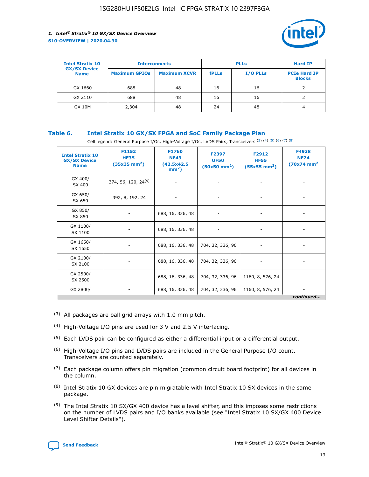

| <b>Intel Stratix 10</b>            |                      | <b>Interconnects</b> |              | <b>PLLs</b>     | <b>Hard IP</b>                       |
|------------------------------------|----------------------|----------------------|--------------|-----------------|--------------------------------------|
| <b>GX/SX Device</b><br><b>Name</b> | <b>Maximum GPIOs</b> | <b>Maximum XCVR</b>  | <b>fPLLs</b> | <b>I/O PLLs</b> | <b>PCIe Hard IP</b><br><b>Blocks</b> |
| GX 1660                            | 688                  | 48                   | 16           | 16              |                                      |
| GX 2110                            | 688                  | 48                   | 16           | 16              |                                      |
| <b>GX 10M</b>                      | 2,304                | 48                   | 24           | 48              | 4                                    |

#### **Table 6. Intel Stratix 10 GX/SX FPGA and SoC Family Package Plan**

Cell legend: General Purpose I/Os, High-Voltage I/Os, LVDS Pairs, Transceivers (3) (4) (5) (6) (7) (8)

| <b>Intel Stratix 10</b><br><b>GX/SX Device</b><br><b>Name</b> | F1152<br><b>HF35</b><br>$(35x35 \text{ mm}^2)$ | F1760<br><b>NF43</b><br>(42.5x42.5<br>$mm2$ ) | F2397<br><b>UF50</b><br>$(50x50 \text{ mm}^2)$ | F2912<br><b>HF55</b><br>$(55x55$ mm <sup>2</sup> ) | F4938<br><b>NF74</b><br>$(70x74)$ mm <sup>2</sup> |
|---------------------------------------------------------------|------------------------------------------------|-----------------------------------------------|------------------------------------------------|----------------------------------------------------|---------------------------------------------------|
| GX 400/<br>SX 400                                             | 374, 56, 120, 24 <sup>(9)</sup>                | $\overline{\phantom{a}}$                      | $\overline{\phantom{a}}$                       | ۰                                                  |                                                   |
| GX 650/<br>SX 650                                             | 392, 8, 192, 24                                | $\overline{\phantom{a}}$                      | $\overline{\phantom{a}}$                       |                                                    |                                                   |
| GX 850/<br>SX 850                                             | ۰.                                             | 688, 16, 336, 48                              |                                                |                                                    |                                                   |
| GX 1100/<br>SX 1100                                           |                                                | 688, 16, 336, 48                              |                                                |                                                    |                                                   |
| GX 1650/<br>SX 1650                                           |                                                | 688, 16, 336, 48                              | 704, 32, 336, 96                               |                                                    |                                                   |
| GX 2100/<br>SX 2100                                           | -                                              | 688, 16, 336, 48                              | 704, 32, 336, 96                               | $\overline{\phantom{a}}$                           |                                                   |
| GX 2500/<br>SX 2500                                           |                                                | 688, 16, 336, 48                              | 704, 32, 336, 96                               | 1160, 8, 576, 24                                   |                                                   |
| GX 2800/                                                      | ۰                                              | 688, 16, 336, 48                              | 704, 32, 336, 96                               | 1160, 8, 576, 24                                   | $\overline{\phantom{a}}$<br>continued             |

- (3) All packages are ball grid arrays with 1.0 mm pitch.
- (4) High-Voltage I/O pins are used for 3 V and 2.5 V interfacing.
- $(5)$  Each LVDS pair can be configured as either a differential input or a differential output.
- (6) High-Voltage I/O pins and LVDS pairs are included in the General Purpose I/O count. Transceivers are counted separately.
- $(7)$  Each package column offers pin migration (common circuit board footprint) for all devices in the column.
- $(8)$  Intel Stratix 10 GX devices are pin migratable with Intel Stratix 10 SX devices in the same package.
- $(9)$  The Intel Stratix 10 SX/GX 400 device has a level shifter, and this imposes some restrictions on the number of LVDS pairs and I/O banks available (see "Intel Stratix 10 SX/GX 400 Device Level Shifter Details").

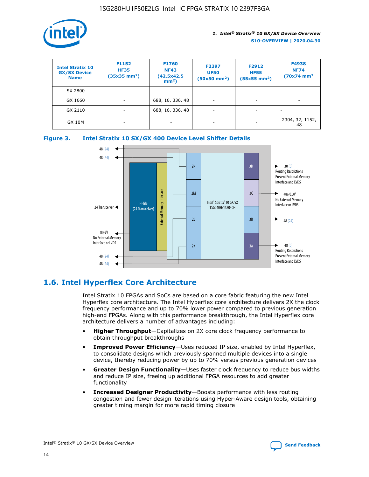

| <b>Intel Stratix 10</b><br><b>GX/SX Device</b><br><b>Name</b> | F1152<br><b>HF35</b><br>$(35x35)$ mm <sup>2</sup> ) | <b>F1760</b><br><b>NF43</b><br>(42.5x42.5<br>$mm2$ ) | F2397<br><b>UF50</b><br>$(50x50 \text{ mm}^2)$ | F2912<br><b>HF55</b><br>$(55x55$ mm <sup>2</sup> ) | F4938<br><b>NF74</b><br>$(70x74)$ mm <sup>2</sup> |
|---------------------------------------------------------------|-----------------------------------------------------|------------------------------------------------------|------------------------------------------------|----------------------------------------------------|---------------------------------------------------|
| SX 2800                                                       |                                                     |                                                      |                                                |                                                    |                                                   |
| GX 1660                                                       | -                                                   | 688, 16, 336, 48                                     | $\overline{\phantom{a}}$                       |                                                    |                                                   |
| GX 2110                                                       |                                                     | 688, 16, 336, 48                                     | $\overline{\phantom{a}}$                       |                                                    |                                                   |
| <b>GX 10M</b>                                                 | ۰                                                   |                                                      |                                                |                                                    | 2304, 32, 1152,<br>48                             |





# **1.6. Intel Hyperflex Core Architecture**

Intel Stratix 10 FPGAs and SoCs are based on a core fabric featuring the new Intel Hyperflex core architecture. The Intel Hyperflex core architecture delivers 2X the clock frequency performance and up to 70% lower power compared to previous generation high-end FPGAs. Along with this performance breakthrough, the Intel Hyperflex core architecture delivers a number of advantages including:

- **Higher Throughput**—Capitalizes on 2X core clock frequency performance to obtain throughput breakthroughs
- **Improved Power Efficiency**—Uses reduced IP size, enabled by Intel Hyperflex, to consolidate designs which previously spanned multiple devices into a single device, thereby reducing power by up to 70% versus previous generation devices
- **Greater Design Functionality**—Uses faster clock frequency to reduce bus widths and reduce IP size, freeing up additional FPGA resources to add greater functionality
- **Increased Designer Productivity**—Boosts performance with less routing congestion and fewer design iterations using Hyper-Aware design tools, obtaining greater timing margin for more rapid timing closure

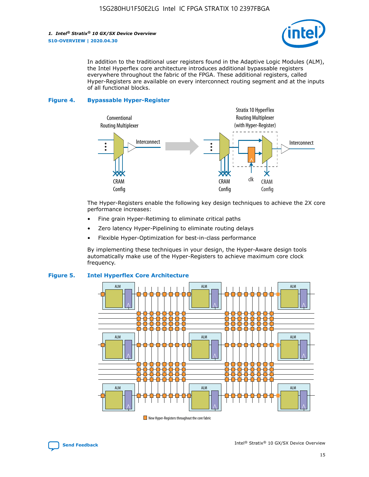

In addition to the traditional user registers found in the Adaptive Logic Modules (ALM), the Intel Hyperflex core architecture introduces additional bypassable registers everywhere throughout the fabric of the FPGA. These additional registers, called Hyper-Registers are available on every interconnect routing segment and at the inputs of all functional blocks.

#### **Figure 4. Bypassable Hyper-Register**



The Hyper-Registers enable the following key design techniques to achieve the 2X core performance increases:

- Fine grain Hyper-Retiming to eliminate critical paths
- Zero latency Hyper-Pipelining to eliminate routing delays
- Flexible Hyper-Optimization for best-in-class performance

By implementing these techniques in your design, the Hyper-Aware design tools automatically make use of the Hyper-Registers to achieve maximum core clock frequency.



#### **Figure 5. Intel Hyperflex Core Architecture**

New Hyper-Registers throughout the core fabric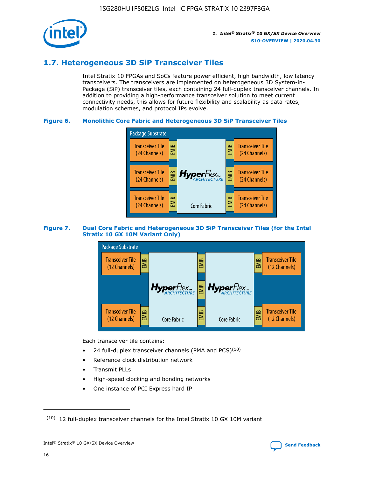

# **1.7. Heterogeneous 3D SiP Transceiver Tiles**

Intel Stratix 10 FPGAs and SoCs feature power efficient, high bandwidth, low latency transceivers. The transceivers are implemented on heterogeneous 3D System-in-Package (SiP) transceiver tiles, each containing 24 full-duplex transceiver channels. In addition to providing a high-performance transceiver solution to meet current connectivity needs, this allows for future flexibility and scalability as data rates, modulation schemes, and protocol IPs evolve.

#### **Figure 6. Monolithic Core Fabric and Heterogeneous 3D SiP Transceiver Tiles**



#### **Figure 7. Dual Core Fabric and Heterogeneous 3D SiP Transceiver Tiles (for the Intel Stratix 10 GX 10M Variant Only)**



Each transceiver tile contains:

- 24 full-duplex transceiver channels (PMA and PCS) $(10)$
- Reference clock distribution network
- Transmit PLLs
- High-speed clocking and bonding networks
- One instance of PCI Express hard IP

16

 $(10)$  12 full-duplex transceiver channels for the Intel Stratix 10 GX 10M variant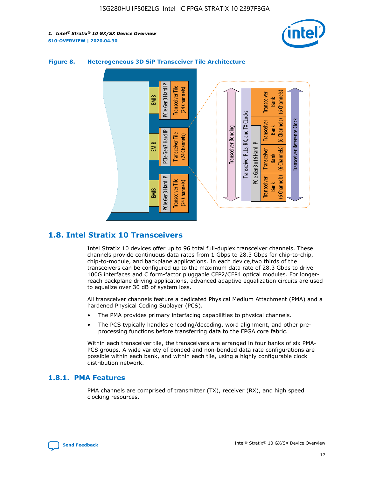



#### **Figure 8. Heterogeneous 3D SiP Transceiver Tile Architecture**

# **1.8. Intel Stratix 10 Transceivers**

Intel Stratix 10 devices offer up to 96 total full-duplex transceiver channels. These channels provide continuous data rates from 1 Gbps to 28.3 Gbps for chip-to-chip, chip-to-module, and backplane applications. In each device,two thirds of the transceivers can be configured up to the maximum data rate of 28.3 Gbps to drive 100G interfaces and C form-factor pluggable CFP2/CFP4 optical modules. For longerreach backplane driving applications, advanced adaptive equalization circuits are used to equalize over 30 dB of system loss.

All transceiver channels feature a dedicated Physical Medium Attachment (PMA) and a hardened Physical Coding Sublayer (PCS).

- The PMA provides primary interfacing capabilities to physical channels.
- The PCS typically handles encoding/decoding, word alignment, and other preprocessing functions before transferring data to the FPGA core fabric.

Within each transceiver tile, the transceivers are arranged in four banks of six PMA-PCS groups. A wide variety of bonded and non-bonded data rate configurations are possible within each bank, and within each tile, using a highly configurable clock distribution network.

#### **1.8.1. PMA Features**

PMA channels are comprised of transmitter (TX), receiver (RX), and high speed clocking resources.

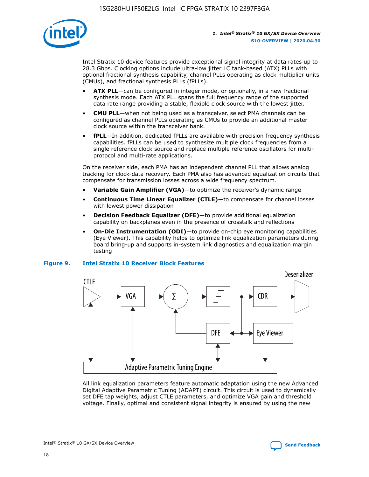

Intel Stratix 10 device features provide exceptional signal integrity at data rates up to 28.3 Gbps. Clocking options include ultra-low jitter LC tank-based (ATX) PLLs with optional fractional synthesis capability, channel PLLs operating as clock multiplier units (CMUs), and fractional synthesis PLLs (fPLLs).

- **ATX PLL**—can be configured in integer mode, or optionally, in a new fractional synthesis mode. Each ATX PLL spans the full frequency range of the supported data rate range providing a stable, flexible clock source with the lowest jitter.
- **CMU PLL**—when not being used as a transceiver, select PMA channels can be configured as channel PLLs operating as CMUs to provide an additional master clock source within the transceiver bank.
- **fPLL**—In addition, dedicated fPLLs are available with precision frequency synthesis capabilities. fPLLs can be used to synthesize multiple clock frequencies from a single reference clock source and replace multiple reference oscillators for multiprotocol and multi-rate applications.

On the receiver side, each PMA has an independent channel PLL that allows analog tracking for clock-data recovery. Each PMA also has advanced equalization circuits that compensate for transmission losses across a wide frequency spectrum.

- **Variable Gain Amplifier (VGA)**—to optimize the receiver's dynamic range
- **Continuous Time Linear Equalizer (CTLE)**—to compensate for channel losses with lowest power dissipation
- **Decision Feedback Equalizer (DFE)**—to provide additional equalization capability on backplanes even in the presence of crosstalk and reflections
- **On-Die Instrumentation (ODI)**—to provide on-chip eye monitoring capabilities (Eye Viewer). This capability helps to optimize link equalization parameters during board bring-up and supports in-system link diagnostics and equalization margin testing

#### **Figure 9. Intel Stratix 10 Receiver Block Features**



All link equalization parameters feature automatic adaptation using the new Advanced Digital Adaptive Parametric Tuning (ADAPT) circuit. This circuit is used to dynamically set DFE tap weights, adjust CTLE parameters, and optimize VGA gain and threshold voltage. Finally, optimal and consistent signal integrity is ensured by using the new

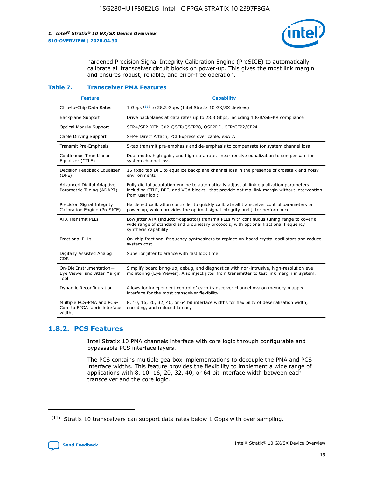

hardened Precision Signal Integrity Calibration Engine (PreSICE) to automatically calibrate all transceiver circuit blocks on power-up. This gives the most link margin and ensures robust, reliable, and error-free operation.

#### **Table 7. Transceiver PMA Features**

| <b>Feature</b>                                                       | <b>Capability</b>                                                                                                                                                                                         |
|----------------------------------------------------------------------|-----------------------------------------------------------------------------------------------------------------------------------------------------------------------------------------------------------|
| Chip-to-Chip Data Rates                                              | 1 Gbps (11) to 28.3 Gbps (Intel Stratix 10 GX/SX devices)                                                                                                                                                 |
| <b>Backplane Support</b>                                             | Drive backplanes at data rates up to 28.3 Gbps, including 10GBASE-KR compliance                                                                                                                           |
| Optical Module Support                                               | SFP+/SFP, XFP, CXP, QSFP/QSFP28, QSFPDD, CFP/CFP2/CFP4                                                                                                                                                    |
| Cable Driving Support                                                | SFP+ Direct Attach, PCI Express over cable, eSATA                                                                                                                                                         |
| <b>Transmit Pre-Emphasis</b>                                         | 5-tap transmit pre-emphasis and de-emphasis to compensate for system channel loss                                                                                                                         |
| Continuous Time Linear<br>Equalizer (CTLE)                           | Dual mode, high-gain, and high-data rate, linear receive equalization to compensate for<br>system channel loss                                                                                            |
| Decision Feedback Equalizer<br>(DFE)                                 | 15 fixed tap DFE to equalize backplane channel loss in the presence of crosstalk and noisy<br>environments                                                                                                |
| Advanced Digital Adaptive<br>Parametric Tuning (ADAPT)               | Fully digital adaptation engine to automatically adjust all link equalization parameters-<br>including CTLE, DFE, and VGA blocks-that provide optimal link margin without intervention<br>from user logic |
| Precision Signal Integrity<br>Calibration Engine (PreSICE)           | Hardened calibration controller to quickly calibrate all transceiver control parameters on<br>power-up, which provides the optimal signal integrity and jitter performance                                |
| <b>ATX Transmit PLLs</b>                                             | Low jitter ATX (inductor-capacitor) transmit PLLs with continuous tuning range to cover a<br>wide range of standard and proprietary protocols, with optional fractional frequency<br>synthesis capability |
| <b>Fractional PLLs</b>                                               | On-chip fractional frequency synthesizers to replace on-board crystal oscillators and reduce<br>system cost                                                                                               |
| Digitally Assisted Analog<br>CDR.                                    | Superior jitter tolerance with fast lock time                                                                                                                                                             |
| On-Die Instrumentation-<br>Eye Viewer and Jitter Margin<br>Tool      | Simplify board bring-up, debug, and diagnostics with non-intrusive, high-resolution eye<br>monitoring (Eye Viewer). Also inject jitter from transmitter to test link margin in system.                    |
| Dynamic Reconfiguration                                              | Allows for independent control of each transceiver channel Avalon memory-mapped<br>interface for the most transceiver flexibility.                                                                        |
| Multiple PCS-PMA and PCS-<br>Core to FPGA fabric interface<br>widths | 8, 10, 16, 20, 32, 40, or 64 bit interface widths for flexibility of deserialization width,<br>encoding, and reduced latency                                                                              |

### **1.8.2. PCS Features**

Intel Stratix 10 PMA channels interface with core logic through configurable and bypassable PCS interface layers.

The PCS contains multiple gearbox implementations to decouple the PMA and PCS interface widths. This feature provides the flexibility to implement a wide range of applications with 8, 10, 16, 20, 32, 40, or 64 bit interface width between each transceiver and the core logic.

<sup>(11)</sup> Stratix 10 transceivers can support data rates below 1 Gbps with over sampling.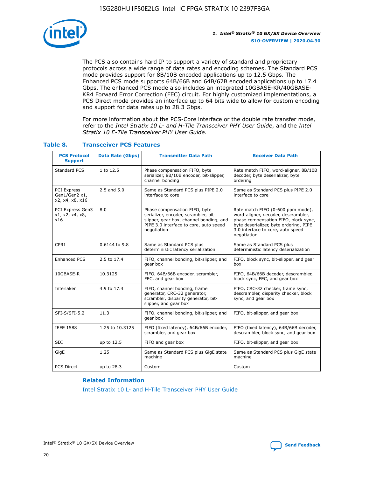

The PCS also contains hard IP to support a variety of standard and proprietary protocols across a wide range of data rates and encoding schemes. The Standard PCS mode provides support for 8B/10B encoded applications up to 12.5 Gbps. The Enhanced PCS mode supports 64B/66B and 64B/67B encoded applications up to 17.4 Gbps. The enhanced PCS mode also includes an integrated 10GBASE-KR/40GBASE-KR4 Forward Error Correction (FEC) circuit. For highly customized implementations, a PCS Direct mode provides an interface up to 64 bits wide to allow for custom encoding and support for data rates up to 28.3 Gbps.

For more information about the PCS-Core interface or the double rate transfer mode, refer to the *Intel Stratix 10 L- and H-Tile Transceiver PHY User Guide*, and the *Intel Stratix 10 E-Tile Transceiver PHY User Guide*.

| <b>PCS Protocol</b><br><b>Support</b>           | <b>Data Rate (Gbps)</b> | <b>Transmitter Data Path</b>                                                                                                                                              | <b>Receiver Data Path</b>                                                                                                                                                                                      |
|-------------------------------------------------|-------------------------|---------------------------------------------------------------------------------------------------------------------------------------------------------------------------|----------------------------------------------------------------------------------------------------------------------------------------------------------------------------------------------------------------|
| Standard PCS                                    | 1 to 12.5               | Phase compensation FIFO, byte<br>serializer, 8B/10B encoder, bit-slipper,<br>channel bonding                                                                              | Rate match FIFO, word-aligner, 8B/10B<br>decoder, byte deserializer, byte<br>ordering                                                                                                                          |
| PCI Express<br>Gen1/Gen2 x1,<br>x2, x4, x8, x16 | $2.5$ and $5.0$         | Same as Standard PCS plus PIPE 2.0<br>interface to core                                                                                                                   | Same as Standard PCS plus PIPE 2.0<br>interface to core                                                                                                                                                        |
| PCI Express Gen3<br>x1, x2, x4, x8,<br>x16      | 8.0                     | Phase compensation FIFO, byte<br>serializer, encoder, scrambler, bit-<br>slipper, gear box, channel bonding, and<br>PIPE 3.0 interface to core, auto speed<br>negotiation | Rate match FIFO (0-600 ppm mode),<br>word-aligner, decoder, descrambler,<br>phase compensation FIFO, block sync,<br>byte deserializer, byte ordering, PIPE<br>3.0 interface to core, auto speed<br>negotiation |
| CPRI                                            | 0.6144 to 9.8           | Same as Standard PCS plus<br>deterministic latency serialization                                                                                                          | Same as Standard PCS plus<br>deterministic latency deserialization                                                                                                                                             |
| <b>Enhanced PCS</b>                             | 2.5 to 17.4             | FIFO, channel bonding, bit-slipper, and<br>gear box                                                                                                                       | FIFO, block sync, bit-slipper, and gear<br>box                                                                                                                                                                 |
| 10GBASE-R                                       | 10.3125                 | FIFO, 64B/66B encoder, scrambler,<br>FEC, and gear box                                                                                                                    | FIFO, 64B/66B decoder, descrambler,<br>block sync, FEC, and gear box                                                                                                                                           |
| Interlaken                                      | 4.9 to 17.4             | FIFO, channel bonding, frame<br>generator, CRC-32 generator,<br>scrambler, disparity generator, bit-<br>slipper, and gear box                                             | FIFO, CRC-32 checker, frame sync,<br>descrambler, disparity checker, block<br>sync, and gear box                                                                                                               |
| SFI-S/SFI-5.2                                   | 11.3                    | FIFO, channel bonding, bit-slipper, and<br>gear box                                                                                                                       | FIFO, bit-slipper, and gear box                                                                                                                                                                                |
| <b>IEEE 1588</b>                                | 1.25 to 10.3125         | FIFO (fixed latency), 64B/66B encoder,<br>scrambler, and gear box                                                                                                         | FIFO (fixed latency), 64B/66B decoder,<br>descrambler, block sync, and gear box                                                                                                                                |
| SDI                                             | up to 12.5              | FIFO and gear box                                                                                                                                                         | FIFO, bit-slipper, and gear box                                                                                                                                                                                |
| GigE                                            | 1.25                    | Same as Standard PCS plus GigE state<br>machine                                                                                                                           | Same as Standard PCS plus GigE state<br>machine                                                                                                                                                                |
| <b>PCS Direct</b>                               | up to 28.3              | Custom                                                                                                                                                                    | Custom                                                                                                                                                                                                         |

#### **Table 8. Transceiver PCS Features**

#### **Related Information**

[Intel Stratix 10 L- and H-Tile Transceiver PHY User Guide](https://www.altera.com/documentation/wry1479165198810.html)

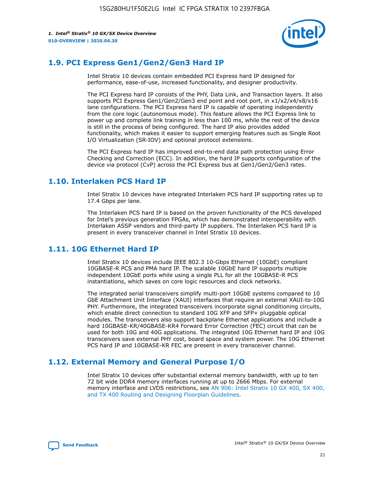

# **1.9. PCI Express Gen1/Gen2/Gen3 Hard IP**

Intel Stratix 10 devices contain embedded PCI Express hard IP designed for performance, ease-of-use, increased functionality, and designer productivity.

The PCI Express hard IP consists of the PHY, Data Link, and Transaction layers. It also supports PCI Express Gen1/Gen2/Gen3 end point and root port, in x1/x2/x4/x8/x16 lane configurations. The PCI Express hard IP is capable of operating independently from the core logic (autonomous mode). This feature allows the PCI Express link to power up and complete link training in less than 100 ms, while the rest of the device is still in the process of being configured. The hard IP also provides added functionality, which makes it easier to support emerging features such as Single Root I/O Virtualization (SR-IOV) and optional protocol extensions.

The PCI Express hard IP has improved end-to-end data path protection using Error Checking and Correction (ECC). In addition, the hard IP supports configuration of the device via protocol (CvP) across the PCI Express bus at Gen1/Gen2/Gen3 rates.

# **1.10. Interlaken PCS Hard IP**

Intel Stratix 10 devices have integrated Interlaken PCS hard IP supporting rates up to 17.4 Gbps per lane.

The Interlaken PCS hard IP is based on the proven functionality of the PCS developed for Intel's previous generation FPGAs, which has demonstrated interoperability with Interlaken ASSP vendors and third-party IP suppliers. The Interlaken PCS hard IP is present in every transceiver channel in Intel Stratix 10 devices.

# **1.11. 10G Ethernet Hard IP**

Intel Stratix 10 devices include IEEE 802.3 10-Gbps Ethernet (10GbE) compliant 10GBASE-R PCS and PMA hard IP. The scalable 10GbE hard IP supports multiple independent 10GbE ports while using a single PLL for all the 10GBASE-R PCS instantiations, which saves on core logic resources and clock networks.

The integrated serial transceivers simplify multi-port 10GbE systems compared to 10 GbE Attachment Unit Interface (XAUI) interfaces that require an external XAUI-to-10G PHY. Furthermore, the integrated transceivers incorporate signal conditioning circuits, which enable direct connection to standard 10G XFP and SFP+ pluggable optical modules. The transceivers also support backplane Ethernet applications and include a hard 10GBASE-KR/40GBASE-KR4 Forward Error Correction (FEC) circuit that can be used for both 10G and 40G applications. The integrated 10G Ethernet hard IP and 10G transceivers save external PHY cost, board space and system power. The 10G Ethernet PCS hard IP and 10GBASE-KR FEC are present in every transceiver channel.

# **1.12. External Memory and General Purpose I/O**

Intel Stratix 10 devices offer substantial external memory bandwidth, with up to ten 72 bit wide DDR4 memory interfaces running at up to 2666 Mbps. For external memory interface and LVDS restrictions, see [AN 906: Intel Stratix 10 GX 400, SX 400,](https://www.intel.com/content/www/us/en/programmable/documentation/sjf1574667190623.html#bft1574667627484) [and TX 400 Routing and Designing Floorplan Guidelines.](https://www.intel.com/content/www/us/en/programmable/documentation/sjf1574667190623.html#bft1574667627484)

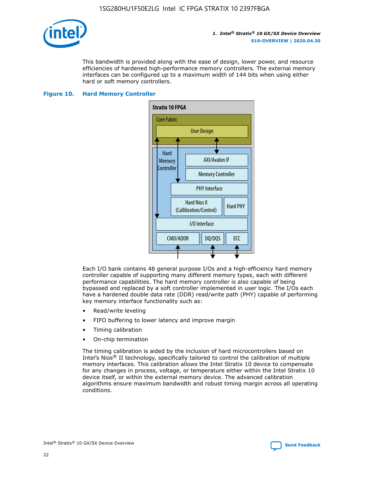

This bandwidth is provided along with the ease of design, lower power, and resource efficiencies of hardened high-performance memory controllers. The external memory interfaces can be configured up to a maximum width of 144 bits when using either hard or soft memory controllers.

#### **Figure 10. Hard Memory Controller**



Each I/O bank contains 48 general purpose I/Os and a high-efficiency hard memory controller capable of supporting many different memory types, each with different performance capabilities. The hard memory controller is also capable of being bypassed and replaced by a soft controller implemented in user logic. The I/Os each have a hardened double data rate (DDR) read/write path (PHY) capable of performing key memory interface functionality such as:

- Read/write leveling
- FIFO buffering to lower latency and improve margin
- Timing calibration
- On-chip termination

The timing calibration is aided by the inclusion of hard microcontrollers based on Intel's Nios® II technology, specifically tailored to control the calibration of multiple memory interfaces. This calibration allows the Intel Stratix 10 device to compensate for any changes in process, voltage, or temperature either within the Intel Stratix 10 device itself, or within the external memory device. The advanced calibration algorithms ensure maximum bandwidth and robust timing margin across all operating conditions.

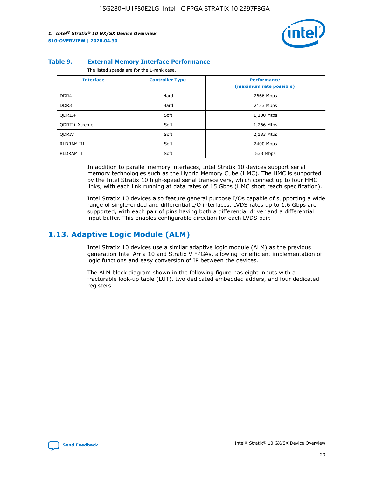

#### **Table 9. External Memory Interface Performance**

The listed speeds are for the 1-rank case.

| <b>Interface</b> | <b>Controller Type</b> | <b>Performance</b><br>(maximum rate possible) |
|------------------|------------------------|-----------------------------------------------|
| DDR4             | Hard                   | 2666 Mbps                                     |
| DDR <sub>3</sub> | Hard                   | 2133 Mbps                                     |
| QDRII+           | Soft                   | 1,100 Mtps                                    |
| QDRII+ Xtreme    | Soft                   | 1,266 Mtps                                    |
| <b>ODRIV</b>     | Soft                   | 2,133 Mtps                                    |
| RLDRAM III       | Soft                   | 2400 Mbps                                     |
| <b>RLDRAM II</b> | Soft                   | 533 Mbps                                      |

In addition to parallel memory interfaces, Intel Stratix 10 devices support serial memory technologies such as the Hybrid Memory Cube (HMC). The HMC is supported by the Intel Stratix 10 high-speed serial transceivers, which connect up to four HMC links, with each link running at data rates of 15 Gbps (HMC short reach specification).

Intel Stratix 10 devices also feature general purpose I/Os capable of supporting a wide range of single-ended and differential I/O interfaces. LVDS rates up to 1.6 Gbps are supported, with each pair of pins having both a differential driver and a differential input buffer. This enables configurable direction for each LVDS pair.

### **1.13. Adaptive Logic Module (ALM)**

Intel Stratix 10 devices use a similar adaptive logic module (ALM) as the previous generation Intel Arria 10 and Stratix V FPGAs, allowing for efficient implementation of logic functions and easy conversion of IP between the devices.

The ALM block diagram shown in the following figure has eight inputs with a fracturable look-up table (LUT), two dedicated embedded adders, and four dedicated registers.

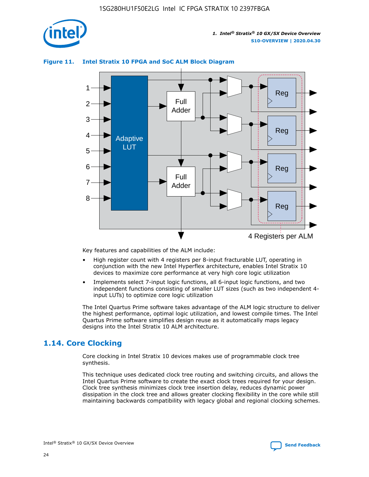

# Reg Reg 1 2 3 4 5 6 7 8 Reg Reg 4 Registers per ALM Full Adder Full Adder Adaptive **LUT**

#### **Figure 11. Intel Stratix 10 FPGA and SoC ALM Block Diagram**

Key features and capabilities of the ALM include:

- High register count with 4 registers per 8-input fracturable LUT, operating in conjunction with the new Intel Hyperflex architecture, enables Intel Stratix 10 devices to maximize core performance at very high core logic utilization
- Implements select 7-input logic functions, all 6-input logic functions, and two independent functions consisting of smaller LUT sizes (such as two independent 4 input LUTs) to optimize core logic utilization

The Intel Quartus Prime software takes advantage of the ALM logic structure to deliver the highest performance, optimal logic utilization, and lowest compile times. The Intel Quartus Prime software simplifies design reuse as it automatically maps legacy designs into the Intel Stratix 10 ALM architecture.

# **1.14. Core Clocking**

Core clocking in Intel Stratix 10 devices makes use of programmable clock tree synthesis.

This technique uses dedicated clock tree routing and switching circuits, and allows the Intel Quartus Prime software to create the exact clock trees required for your design. Clock tree synthesis minimizes clock tree insertion delay, reduces dynamic power dissipation in the clock tree and allows greater clocking flexibility in the core while still maintaining backwards compatibility with legacy global and regional clocking schemes.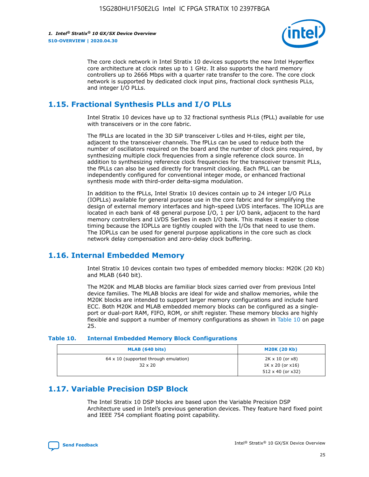

The core clock network in Intel Stratix 10 devices supports the new Intel Hyperflex core architecture at clock rates up to 1 GHz. It also supports the hard memory controllers up to 2666 Mbps with a quarter rate transfer to the core. The core clock network is supported by dedicated clock input pins, fractional clock synthesis PLLs, and integer I/O PLLs.

# **1.15. Fractional Synthesis PLLs and I/O PLLs**

Intel Stratix 10 devices have up to 32 fractional synthesis PLLs (fPLL) available for use with transceivers or in the core fabric.

The fPLLs are located in the 3D SiP transceiver L-tiles and H-tiles, eight per tile, adjacent to the transceiver channels. The fPLLs can be used to reduce both the number of oscillators required on the board and the number of clock pins required, by synthesizing multiple clock frequencies from a single reference clock source. In addition to synthesizing reference clock frequencies for the transceiver transmit PLLs, the fPLLs can also be used directly for transmit clocking. Each fPLL can be independently configured for conventional integer mode, or enhanced fractional synthesis mode with third-order delta-sigma modulation.

In addition to the fPLLs, Intel Stratix 10 devices contain up to 24 integer I/O PLLs (IOPLLs) available for general purpose use in the core fabric and for simplifying the design of external memory interfaces and high-speed LVDS interfaces. The IOPLLs are located in each bank of 48 general purpose I/O, 1 per I/O bank, adjacent to the hard memory controllers and LVDS SerDes in each I/O bank. This makes it easier to close timing because the IOPLLs are tightly coupled with the I/Os that need to use them. The IOPLLs can be used for general purpose applications in the core such as clock network delay compensation and zero-delay clock buffering.

# **1.16. Internal Embedded Memory**

Intel Stratix 10 devices contain two types of embedded memory blocks: M20K (20 Kb) and MLAB (640 bit).

The M20K and MLAB blocks are familiar block sizes carried over from previous Intel device families. The MLAB blocks are ideal for wide and shallow memories, while the M20K blocks are intended to support larger memory configurations and include hard ECC. Both M20K and MLAB embedded memory blocks can be configured as a singleport or dual-port RAM, FIFO, ROM, or shift register. These memory blocks are highly flexible and support a number of memory configurations as shown in Table 10 on page 25.

#### **Table 10. Internal Embedded Memory Block Configurations**

| MLAB (640 bits)                                                | <b>M20K (20 Kb)</b>                                                                    |
|----------------------------------------------------------------|----------------------------------------------------------------------------------------|
| $64 \times 10$ (supported through emulation)<br>$32 \times 20$ | $2K \times 10$ (or $x8$ )<br>$1K \times 20$ (or $x16$ )<br>$512 \times 40$ (or $x32$ ) |

# **1.17. Variable Precision DSP Block**

The Intel Stratix 10 DSP blocks are based upon the Variable Precision DSP Architecture used in Intel's previous generation devices. They feature hard fixed point and IEEE 754 compliant floating point capability.

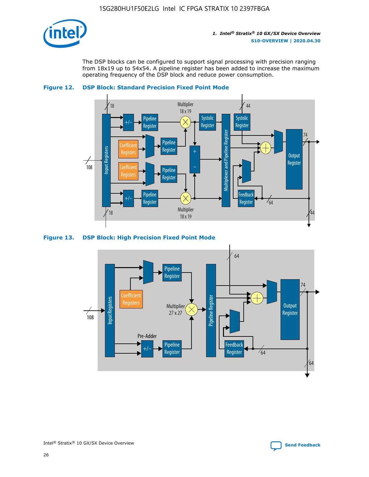

The DSP blocks can be configured to support signal processing with precision ranging from 18x19 up to 54x54. A pipeline register has been added to increase the maximum operating frequency of the DSP block and reduce power consumption.





#### **Figure 13. DSP Block: High Precision Fixed Point Mode**

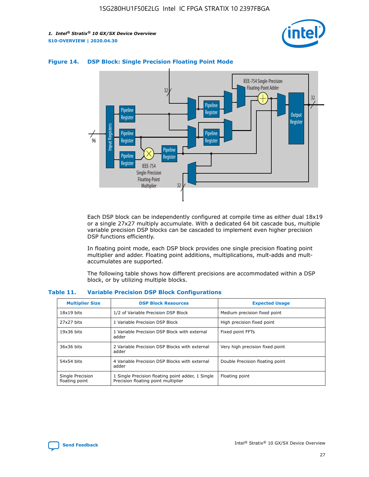



#### **Figure 14. DSP Block: Single Precision Floating Point Mode**

Each DSP block can be independently configured at compile time as either dual 18x19 or a single 27x27 multiply accumulate. With a dedicated 64 bit cascade bus, multiple variable precision DSP blocks can be cascaded to implement even higher precision DSP functions efficiently.

In floating point mode, each DSP block provides one single precision floating point multiplier and adder. Floating point additions, multiplications, mult-adds and multaccumulates are supported.

The following table shows how different precisions are accommodated within a DSP block, or by utilizing multiple blocks.

| <b>Multiplier Size</b>             | <b>DSP Block Resources</b>                                                               | <b>Expected Usage</b>           |
|------------------------------------|------------------------------------------------------------------------------------------|---------------------------------|
| $18x19$ bits                       | 1/2 of Variable Precision DSP Block                                                      | Medium precision fixed point    |
| 27x27 bits                         | 1 Variable Precision DSP Block                                                           | High precision fixed point      |
| $19x36$ bits                       | 1 Variable Precision DSP Block with external<br>adder                                    | Fixed point FFTs                |
| 36x36 bits                         | 2 Variable Precision DSP Blocks with external<br>adder                                   | Very high precision fixed point |
| 54x54 bits                         | 4 Variable Precision DSP Blocks with external<br>adder                                   | Double Precision floating point |
| Single Precision<br>floating point | 1 Single Precision floating point adder, 1 Single<br>Precision floating point multiplier | Floating point                  |

#### **Table 11. Variable Precision DSP Block Configurations**

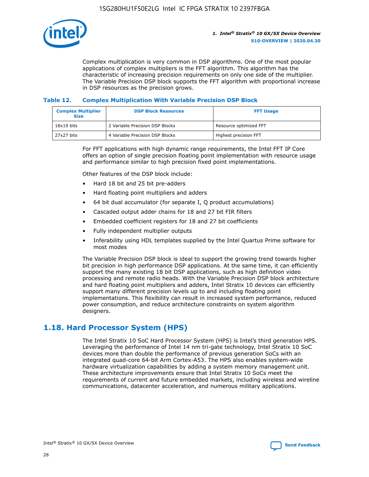

Complex multiplication is very common in DSP algorithms. One of the most popular applications of complex multipliers is the FFT algorithm. This algorithm has the characteristic of increasing precision requirements on only one side of the multiplier. The Variable Precision DSP block supports the FFT algorithm with proportional increase in DSP resources as the precision grows.

#### **Table 12. Complex Multiplication With Variable Precision DSP Block**

| <b>Complex Multiplier</b><br><b>Size</b> | <b>DSP Block Resources</b>      | <b>FFT Usage</b>       |
|------------------------------------------|---------------------------------|------------------------|
| $18x19$ bits                             | 2 Variable Precision DSP Blocks | Resource optimized FFT |
| 27x27 bits                               | 4 Variable Precision DSP Blocks | Highest precision FFT  |

For FFT applications with high dynamic range requirements, the Intel FFT IP Core offers an option of single precision floating point implementation with resource usage and performance similar to high precision fixed point implementations.

Other features of the DSP block include:

- Hard 18 bit and 25 bit pre-adders
- Hard floating point multipliers and adders
- 64 bit dual accumulator (for separate I, Q product accumulations)
- Cascaded output adder chains for 18 and 27 bit FIR filters
- Embedded coefficient registers for 18 and 27 bit coefficients
- Fully independent multiplier outputs
- Inferability using HDL templates supplied by the Intel Quartus Prime software for most modes

The Variable Precision DSP block is ideal to support the growing trend towards higher bit precision in high performance DSP applications. At the same time, it can efficiently support the many existing 18 bit DSP applications, such as high definition video processing and remote radio heads. With the Variable Precision DSP block architecture and hard floating point multipliers and adders, Intel Stratix 10 devices can efficiently support many different precision levels up to and including floating point implementations. This flexibility can result in increased system performance, reduced power consumption, and reduce architecture constraints on system algorithm designers.

# **1.18. Hard Processor System (HPS)**

The Intel Stratix 10 SoC Hard Processor System (HPS) is Intel's third generation HPS. Leveraging the performance of Intel 14 nm tri-gate technology, Intel Stratix 10 SoC devices more than double the performance of previous generation SoCs with an integrated quad-core 64-bit Arm Cortex-A53. The HPS also enables system-wide hardware virtualization capabilities by adding a system memory management unit. These architecture improvements ensure that Intel Stratix 10 SoCs meet the requirements of current and future embedded markets, including wireless and wireline communications, datacenter acceleration, and numerous military applications.

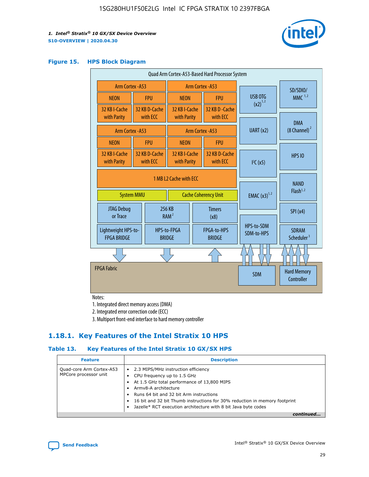

#### **Figure 15. HPS Block Diagram**

| Quad Arm Cortex-A53-Based Hard Processor System |                                             |                           |                              |                       |                              |                                     |                                        |
|-------------------------------------------------|---------------------------------------------|---------------------------|------------------------------|-----------------------|------------------------------|-------------------------------------|----------------------------------------|
| <b>Arm Cortex - A53</b>                         |                                             |                           | Arm Cortex - A53             |                       |                              | SD/SDIO/                            |                                        |
| <b>NEON</b>                                     |                                             | <b>FPU</b>                | <b>NEON</b>                  |                       | <b>FPU</b>                   | <b>USB OTG</b>                      | $MMC$ <sup>1,2</sup>                   |
| 32 KB I-Cache                                   |                                             | 32 KB D-Cache<br>with ECC | 32 KB I-Cache                |                       | 32 KB D - Cache<br>with ECC  | $(x2)^{1,2}$                        |                                        |
| with Parity                                     |                                             |                           | with Parity                  |                       |                              |                                     | <b>DMA</b>                             |
| <b>Arm Cortex - A53</b>                         |                                             |                           |                              |                       | Arm Cortex - A53             | UART (x2)                           | $(8$ Channel) $^2$                     |
| <b>NEON</b>                                     |                                             | <b>FPU</b>                | <b>NEON</b>                  |                       | <b>FPU</b>                   |                                     |                                        |
| 32 KB I-Cache<br>with Parity                    |                                             | 32 KB D-Cache<br>with ECC | 32 KB I-Cache<br>with Parity |                       | 32 KB D-Cache<br>with FCC    | I <sup>2</sup> C(x5)                | <b>HPS 10</b>                          |
|                                                 | 1 MB 12 Cache with FCC<br><b>System MMU</b> |                           | <b>Cache Coherency Unit</b>  |                       | <b>EMAC</b> $(x3)^{1,2}$     | <b>NAND</b><br>Flash <sup>1,2</sup> |                                        |
| JTAG Debug<br>or Trace                          |                                             |                           | 256 KB<br>RAM <sup>2</sup>   | <b>Timers</b><br>(x8) |                              |                                     | SPI(x4)                                |
| Lightweight HPS-to-<br><b>FPGA BRIDGE</b>       |                                             |                           | HPS-to-FPGA<br><b>BRIDGE</b> |                       | FPGA-to-HPS<br><b>BRIDGE</b> | HPS-to-SDM<br>SDM-to-HPS            | <b>SDRAM</b><br>Scheduler <sup>3</sup> |
|                                                 |                                             |                           |                              |                       |                              |                                     |                                        |
| <b>FPGA Fabric</b>                              |                                             |                           |                              |                       |                              | <b>SDM</b>                          | <b>Hard Memory</b><br>Controller       |

Notes:

1. Integrated direct memory access (DMA)

2. Integrated error correction code (ECC)

3. Multiport front-end interface to hard memory controller

### **1.18.1. Key Features of the Intel Stratix 10 HPS**

#### **Table 13. Key Features of the Intel Stratix 10 GX/SX HPS**

| <b>Feature</b>                                    | <b>Description</b>                                                                                                                                                                                                                                                                                                                     |
|---------------------------------------------------|----------------------------------------------------------------------------------------------------------------------------------------------------------------------------------------------------------------------------------------------------------------------------------------------------------------------------------------|
| Quad-core Arm Cortex-A53<br>MPCore processor unit | • 2.3 MIPS/MHz instruction efficiency<br>CPU frequency up to 1.5 GHz<br>At 1.5 GHz total performance of 13,800 MIPS<br>Army8-A architecture<br>Runs 64 bit and 32 bit Arm instructions<br>16 bit and 32 bit Thumb instructions for 30% reduction in memory footprint<br>Jazelle* RCT execution architecture with 8 bit Java byte codes |
|                                                   |                                                                                                                                                                                                                                                                                                                                        |

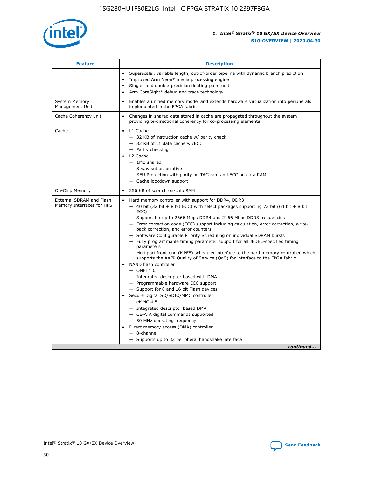

| <b>Feature</b>                                        | <b>Description</b>                                                                                                                                                                                                                                                                                                                                                                                                                                                                                                                                                                                                                                                                                                                                                                                                                                                                                                                                                                                                                                                                                                                                                                                                     |
|-------------------------------------------------------|------------------------------------------------------------------------------------------------------------------------------------------------------------------------------------------------------------------------------------------------------------------------------------------------------------------------------------------------------------------------------------------------------------------------------------------------------------------------------------------------------------------------------------------------------------------------------------------------------------------------------------------------------------------------------------------------------------------------------------------------------------------------------------------------------------------------------------------------------------------------------------------------------------------------------------------------------------------------------------------------------------------------------------------------------------------------------------------------------------------------------------------------------------------------------------------------------------------------|
|                                                       | Superscalar, variable length, out-of-order pipeline with dynamic branch prediction<br>Improved Arm Neon* media processing engine<br>$\bullet$<br>Single- and double-precision floating-point unit<br>Arm CoreSight* debug and trace technology<br>$\bullet$                                                                                                                                                                                                                                                                                                                                                                                                                                                                                                                                                                                                                                                                                                                                                                                                                                                                                                                                                            |
| <b>System Memory</b><br>Management Unit               | Enables a unified memory model and extends hardware virtualization into peripherals<br>$\bullet$<br>implemented in the FPGA fabric                                                                                                                                                                                                                                                                                                                                                                                                                                                                                                                                                                                                                                                                                                                                                                                                                                                                                                                                                                                                                                                                                     |
| Cache Coherency unit                                  | $\bullet$<br>Changes in shared data stored in cache are propagated throughout the system<br>providing bi-directional coherency for co-processing elements.                                                                                                                                                                                                                                                                                                                                                                                                                                                                                                                                                                                                                                                                                                                                                                                                                                                                                                                                                                                                                                                             |
| Cache                                                 | L1 Cache<br>$\bullet$<br>- 32 KB of instruction cache w/ parity check<br>- 32 KB of L1 data cache w /ECC<br>- Parity checking<br>L2 Cache<br>$-$ 1MB shared<br>- 8-way set associative<br>- SEU Protection with parity on TAG ram and ECC on data RAM<br>- Cache lockdown support                                                                                                                                                                                                                                                                                                                                                                                                                                                                                                                                                                                                                                                                                                                                                                                                                                                                                                                                      |
| On-Chip Memory                                        | 256 KB of scratch on-chip RAM<br>$\bullet$                                                                                                                                                                                                                                                                                                                                                                                                                                                                                                                                                                                                                                                                                                                                                                                                                                                                                                                                                                                                                                                                                                                                                                             |
| External SDRAM and Flash<br>Memory Interfaces for HPS | Hard memory controller with support for DDR4, DDR3<br>$\bullet$<br>$-$ 40 bit (32 bit + 8 bit ECC) with select packages supporting 72 bit (64 bit + 8 bit<br>ECC)<br>- Support for up to 2666 Mbps DDR4 and 2166 Mbps DDR3 frequencies<br>- Error correction code (ECC) support including calculation, error correction, write-<br>back correction, and error counters<br>- Software Configurable Priority Scheduling on individual SDRAM bursts<br>- Fully programmable timing parameter support for all JEDEC-specified timing<br>parameters<br>- Multiport front-end (MPFE) scheduler interface to the hard memory controller, which<br>supports the $AXI^{\circledR}$ Quality of Service (QoS) for interface to the FPGA fabric<br>NAND flash controller<br>$-$ ONFI 1.0<br>- Integrated descriptor based with DMA<br>- Programmable hardware ECC support<br>- Support for 8 and 16 bit Flash devices<br>Secure Digital SD/SDIO/MMC controller<br>$-$ eMMC 4.5<br>- Integrated descriptor based DMA<br>- CE-ATA digital commands supported<br>- 50 MHz operating frequency<br>Direct memory access (DMA) controller<br>$\bullet$<br>- 8-channel<br>- Supports up to 32 peripheral handshake interface<br>continued |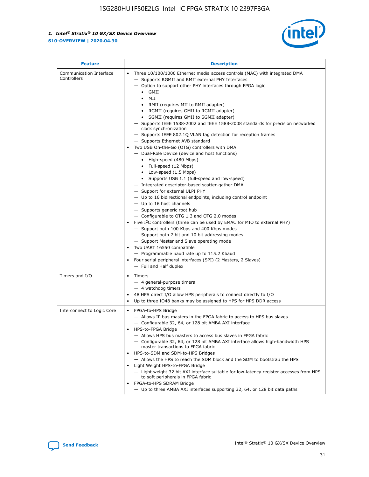

| <b>Feature</b>                         | <b>Description</b>                                                                                                                                                                                                                                                                                                                                                                                                                                                                                                                                                                                                                                                                                                                                                                                                                                                                                                                                                                                                                                                                                                                                                                                                                                                                                                                                                                                                                                                                                                  |
|----------------------------------------|---------------------------------------------------------------------------------------------------------------------------------------------------------------------------------------------------------------------------------------------------------------------------------------------------------------------------------------------------------------------------------------------------------------------------------------------------------------------------------------------------------------------------------------------------------------------------------------------------------------------------------------------------------------------------------------------------------------------------------------------------------------------------------------------------------------------------------------------------------------------------------------------------------------------------------------------------------------------------------------------------------------------------------------------------------------------------------------------------------------------------------------------------------------------------------------------------------------------------------------------------------------------------------------------------------------------------------------------------------------------------------------------------------------------------------------------------------------------------------------------------------------------|
| Communication Interface<br>Controllers | Three 10/100/1000 Ethernet media access controls (MAC) with integrated DMA<br>$\bullet$<br>- Supports RGMII and RMII external PHY Interfaces<br>- Option to support other PHY interfaces through FPGA logic<br>GMII<br>$\bullet$<br>MII<br>$\bullet$<br>• RMII (requires MII to RMII adapter)<br>• RGMII (requires GMII to RGMII adapter)<br>• SGMII (requires GMII to SGMII adapter)<br>- Supports IEEE 1588-2002 and IEEE 1588-2008 standards for precision networked<br>clock synchronization<br>- Supports IEEE 802.1Q VLAN tag detection for reception frames<br>- Supports Ethernet AVB standard<br>Two USB On-the-Go (OTG) controllers with DMA<br>- Dual-Role Device (device and host functions)<br>• High-speed (480 Mbps)<br>• Full-speed (12 Mbps)<br>• Low-speed (1.5 Mbps)<br>• Supports USB 1.1 (full-speed and low-speed)<br>- Integrated descriptor-based scatter-gather DMA<br>- Support for external ULPI PHY<br>- Up to 16 bidirectional endpoints, including control endpoint<br>$-$ Up to 16 host channels<br>- Supports generic root hub<br>- Configurable to OTG 1.3 and OTG 2.0 modes<br>Five $I^2C$ controllers (three can be used by EMAC for MIO to external PHY)<br>- Support both 100 Kbps and 400 Kbps modes<br>- Support both 7 bit and 10 bit addressing modes<br>- Support Master and Slave operating mode<br>Two UART 16550 compatible<br>- Programmable baud rate up to 115.2 Kbaud<br>• Four serial peripheral interfaces (SPI) (2 Masters, 2 Slaves)<br>- Full and Half duplex |
| Timers and I/O                         | $\bullet$ Timers<br>- 4 general-purpose timers<br>$-4$ watchdog timers<br>48 HPS direct I/O allow HPS peripherals to connect directly to I/O<br>Up to three IO48 banks may be assigned to HPS for HPS DDR access                                                                                                                                                                                                                                                                                                                                                                                                                                                                                                                                                                                                                                                                                                                                                                                                                                                                                                                                                                                                                                                                                                                                                                                                                                                                                                    |
| Interconnect to Logic Core             | • FPGA-to-HPS Bridge<br>- Allows IP bus masters in the FPGA fabric to access to HPS bus slaves<br>- Configurable 32, 64, or 128 bit AMBA AXI interface<br>HPS-to-FPGA Bridge<br>- Allows HPS bus masters to access bus slaves in FPGA fabric<br>- Configurable 32, 64, or 128 bit AMBA AXI interface allows high-bandwidth HPS<br>master transactions to FPGA fabric<br>HPS-to-SDM and SDM-to-HPS Bridges<br>- Allows the HPS to reach the SDM block and the SDM to bootstrap the HPS<br>Light Weight HPS-to-FPGA Bridge<br>- Light weight 32 bit AXI interface suitable for low-latency register accesses from HPS<br>to soft peripherals in FPGA fabric<br>FPGA-to-HPS SDRAM Bridge<br>- Up to three AMBA AXI interfaces supporting 32, 64, or 128 bit data paths                                                                                                                                                                                                                                                                                                                                                                                                                                                                                                                                                                                                                                                                                                                                                 |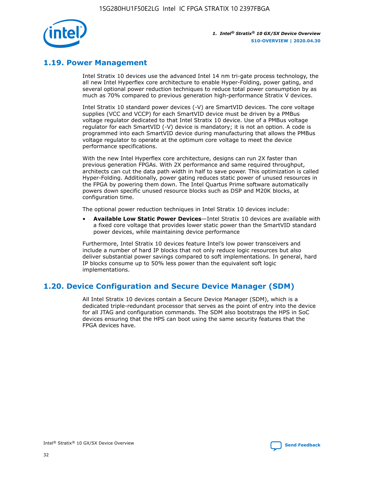

# **1.19. Power Management**

Intel Stratix 10 devices use the advanced Intel 14 nm tri-gate process technology, the all new Intel Hyperflex core architecture to enable Hyper-Folding, power gating, and several optional power reduction techniques to reduce total power consumption by as much as 70% compared to previous generation high-performance Stratix V devices.

Intel Stratix 10 standard power devices (-V) are SmartVID devices. The core voltage supplies (VCC and VCCP) for each SmartVID device must be driven by a PMBus voltage regulator dedicated to that Intel Stratix 10 device. Use of a PMBus voltage regulator for each SmartVID (-V) device is mandatory; it is not an option. A code is programmed into each SmartVID device during manufacturing that allows the PMBus voltage regulator to operate at the optimum core voltage to meet the device performance specifications.

With the new Intel Hyperflex core architecture, designs can run 2X faster than previous generation FPGAs. With 2X performance and same required throughput, architects can cut the data path width in half to save power. This optimization is called Hyper-Folding. Additionally, power gating reduces static power of unused resources in the FPGA by powering them down. The Intel Quartus Prime software automatically powers down specific unused resource blocks such as DSP and M20K blocks, at configuration time.

The optional power reduction techniques in Intel Stratix 10 devices include:

• **Available Low Static Power Devices**—Intel Stratix 10 devices are available with a fixed core voltage that provides lower static power than the SmartVID standard power devices, while maintaining device performance

Furthermore, Intel Stratix 10 devices feature Intel's low power transceivers and include a number of hard IP blocks that not only reduce logic resources but also deliver substantial power savings compared to soft implementations. In general, hard IP blocks consume up to 50% less power than the equivalent soft logic implementations.

# **1.20. Device Configuration and Secure Device Manager (SDM)**

All Intel Stratix 10 devices contain a Secure Device Manager (SDM), which is a dedicated triple-redundant processor that serves as the point of entry into the device for all JTAG and configuration commands. The SDM also bootstraps the HPS in SoC devices ensuring that the HPS can boot using the same security features that the FPGA devices have.

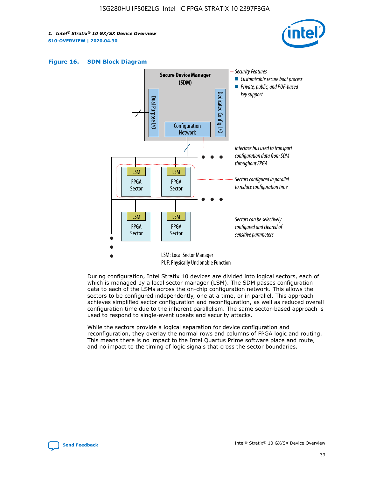





During configuration, Intel Stratix 10 devices are divided into logical sectors, each of which is managed by a local sector manager (LSM). The SDM passes configuration data to each of the LSMs across the on-chip configuration network. This allows the sectors to be configured independently, one at a time, or in parallel. This approach achieves simplified sector configuration and reconfiguration, as well as reduced overall configuration time due to the inherent parallelism. The same sector-based approach is used to respond to single-event upsets and security attacks.

While the sectors provide a logical separation for device configuration and reconfiguration, they overlay the normal rows and columns of FPGA logic and routing. This means there is no impact to the Intel Quartus Prime software place and route, and no impact to the timing of logic signals that cross the sector boundaries.

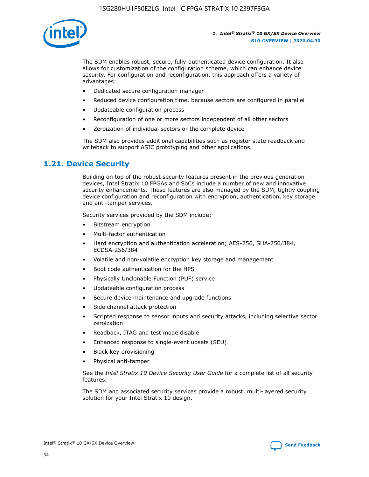

The SDM enables robust, secure, fully-authenticated device configuration. It also allows for customization of the configuration scheme, which can enhance device security. For configuration and reconfiguration, this approach offers a variety of advantages:

- Dedicated secure configuration manager
- Reduced device configuration time, because sectors are configured in parallel
- Updateable configuration process
- Reconfiguration of one or more sectors independent of all other sectors
- Zeroization of individual sectors or the complete device

The SDM also provides additional capabilities such as register state readback and writeback to support ASIC prototyping and other applications.

### **1.21. Device Security**

Building on top of the robust security features present in the previous generation devices, Intel Stratix 10 FPGAs and SoCs include a number of new and innovative security enhancements. These features are also managed by the SDM, tightly coupling device configuration and reconfiguration with encryption, authentication, key storage and anti-tamper services.

Security services provided by the SDM include:

- Bitstream encryption
- Multi-factor authentication
- Hard encryption and authentication acceleration; AES-256, SHA-256/384, ECDSA-256/384
- Volatile and non-volatile encryption key storage and management
- Boot code authentication for the HPS
- Physically Unclonable Function (PUF) service
- Updateable configuration process
- Secure device maintenance and upgrade functions
- Side channel attack protection
- Scripted response to sensor inputs and security attacks, including selective sector zeroization
- Readback, JTAG and test mode disable
- Enhanced response to single-event upsets (SEU)
- Black key provisioning
- Physical anti-tamper

See the *Intel Stratix 10 Device Security User Guide* for a complete list of all security features.

The SDM and associated security services provide a robust, multi-layered security solution for your Intel Stratix 10 design.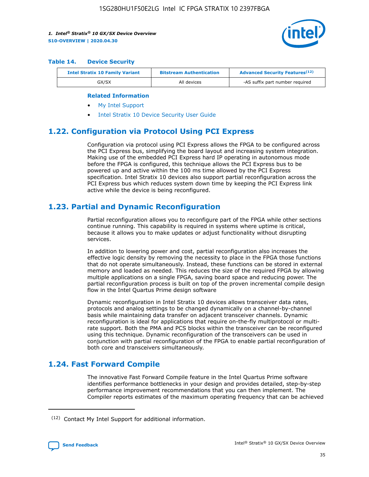

#### **Table 14. Device Security**

| <b>Intel Stratix 10 Family Variant</b> | <b>Bitstream Authentication</b> | <b>Advanced Security Features</b> <sup>(12)</sup> |  |
|----------------------------------------|---------------------------------|---------------------------------------------------|--|
| GX/SX                                  | All devices                     | -AS suffix part number required                   |  |

#### **Related Information**

- [My Intel Support](https://www.intel.com/content/www/us/en/programmable/my-intel/mal-home.html)
- [Intel Stratix 10 Device Security User Guide](https://www.intel.com/content/www/us/en/programmable/documentation/ndq1483601370898.html#wcd1483611014402)

# **1.22. Configuration via Protocol Using PCI Express**

Configuration via protocol using PCI Express allows the FPGA to be configured across the PCI Express bus, simplifying the board layout and increasing system integration. Making use of the embedded PCI Express hard IP operating in autonomous mode before the FPGA is configured, this technique allows the PCI Express bus to be powered up and active within the 100 ms time allowed by the PCI Express specification. Intel Stratix 10 devices also support partial reconfiguration across the PCI Express bus which reduces system down time by keeping the PCI Express link active while the device is being reconfigured.

### **1.23. Partial and Dynamic Reconfiguration**

Partial reconfiguration allows you to reconfigure part of the FPGA while other sections continue running. This capability is required in systems where uptime is critical, because it allows you to make updates or adjust functionality without disrupting services.

In addition to lowering power and cost, partial reconfiguration also increases the effective logic density by removing the necessity to place in the FPGA those functions that do not operate simultaneously. Instead, these functions can be stored in external memory and loaded as needed. This reduces the size of the required FPGA by allowing multiple applications on a single FPGA, saving board space and reducing power. The partial reconfiguration process is built on top of the proven incremental compile design flow in the Intel Quartus Prime design software

Dynamic reconfiguration in Intel Stratix 10 devices allows transceiver data rates, protocols and analog settings to be changed dynamically on a channel-by-channel basis while maintaining data transfer on adjacent transceiver channels. Dynamic reconfiguration is ideal for applications that require on-the-fly multiprotocol or multirate support. Both the PMA and PCS blocks within the transceiver can be reconfigured using this technique. Dynamic reconfiguration of the transceivers can be used in conjunction with partial reconfiguration of the FPGA to enable partial reconfiguration of both core and transceivers simultaneously.

# **1.24. Fast Forward Compile**

The innovative Fast Forward Compile feature in the Intel Quartus Prime software identifies performance bottlenecks in your design and provides detailed, step-by-step performance improvement recommendations that you can then implement. The Compiler reports estimates of the maximum operating frequency that can be achieved

<sup>(12)</sup> Contact My Intel Support for additional information.

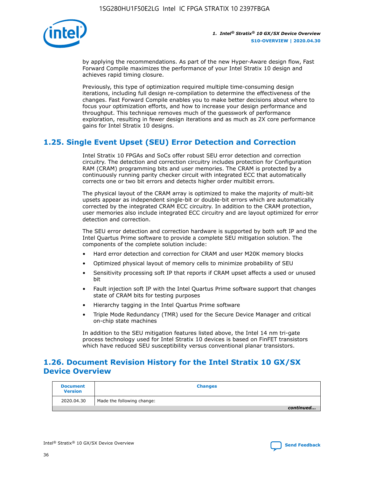

by applying the recommendations. As part of the new Hyper-Aware design flow, Fast Forward Compile maximizes the performance of your Intel Stratix 10 design and achieves rapid timing closure.

Previously, this type of optimization required multiple time-consuming design iterations, including full design re-compilation to determine the effectiveness of the changes. Fast Forward Compile enables you to make better decisions about where to focus your optimization efforts, and how to increase your design performance and throughput. This technique removes much of the guesswork of performance exploration, resulting in fewer design iterations and as much as 2X core performance gains for Intel Stratix 10 designs.

# **1.25. Single Event Upset (SEU) Error Detection and Correction**

Intel Stratix 10 FPGAs and SoCs offer robust SEU error detection and correction circuitry. The detection and correction circuitry includes protection for Configuration RAM (CRAM) programming bits and user memories. The CRAM is protected by a continuously running parity checker circuit with integrated ECC that automatically corrects one or two bit errors and detects higher order multibit errors.

The physical layout of the CRAM array is optimized to make the majority of multi-bit upsets appear as independent single-bit or double-bit errors which are automatically corrected by the integrated CRAM ECC circuitry. In addition to the CRAM protection, user memories also include integrated ECC circuitry and are layout optimized for error detection and correction.

The SEU error detection and correction hardware is supported by both soft IP and the Intel Quartus Prime software to provide a complete SEU mitigation solution. The components of the complete solution include:

- Hard error detection and correction for CRAM and user M20K memory blocks
- Optimized physical layout of memory cells to minimize probability of SEU
- Sensitivity processing soft IP that reports if CRAM upset affects a used or unused bit
- Fault injection soft IP with the Intel Quartus Prime software support that changes state of CRAM bits for testing purposes
- Hierarchy tagging in the Intel Quartus Prime software
- Triple Mode Redundancy (TMR) used for the Secure Device Manager and critical on-chip state machines

In addition to the SEU mitigation features listed above, the Intel 14 nm tri-gate process technology used for Intel Stratix 10 devices is based on FinFET transistors which have reduced SEU susceptibility versus conventional planar transistors.

# **1.26. Document Revision History for the Intel Stratix 10 GX/SX Device Overview**

| <b>Document</b><br><b>Version</b> | <b>Changes</b>             |
|-----------------------------------|----------------------------|
| 2020.04.30                        | Made the following change: |
|                                   | continued                  |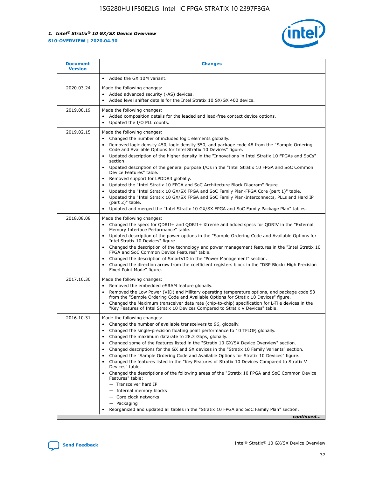

| <b>Document</b><br><b>Version</b> | <b>Changes</b>                                                                                                                                                                                                                                                                                                                                                                                                                                                                                                                                                                                                                                                                                                                                                                                                                                                                                                                                                                                      |
|-----------------------------------|-----------------------------------------------------------------------------------------------------------------------------------------------------------------------------------------------------------------------------------------------------------------------------------------------------------------------------------------------------------------------------------------------------------------------------------------------------------------------------------------------------------------------------------------------------------------------------------------------------------------------------------------------------------------------------------------------------------------------------------------------------------------------------------------------------------------------------------------------------------------------------------------------------------------------------------------------------------------------------------------------------|
|                                   | Added the GX 10M variant.                                                                                                                                                                                                                                                                                                                                                                                                                                                                                                                                                                                                                                                                                                                                                                                                                                                                                                                                                                           |
| 2020.03.24                        | Made the following changes:<br>Added advanced security (-AS) devices.<br>Added level shifter details for the Intel Stratix 10 SX/GX 400 device.                                                                                                                                                                                                                                                                                                                                                                                                                                                                                                                                                                                                                                                                                                                                                                                                                                                     |
| 2019.08.19                        | Made the following changes:<br>Added composition details for the leaded and lead-free contact device options.<br>$\bullet$<br>Updated the I/O PLL counts.                                                                                                                                                                                                                                                                                                                                                                                                                                                                                                                                                                                                                                                                                                                                                                                                                                           |
| 2019.02.15                        | Made the following changes:<br>Changed the number of included logic elements globally.<br>$\bullet$<br>Removed logic density 450, logic density 550, and package code 48 from the "Sample Ordering<br>$\bullet$<br>Code and Available Options for Intel Stratix 10 Devices" figure.<br>Updated description of the higher density in the "Innovations in Intel Stratix 10 FPGAs and SoCs"<br>section.<br>Updated description of the general purpose I/Os in the "Intel Stratix 10 FPGA and SoC Common<br>$\bullet$<br>Device Features" table.<br>Removed support for LPDDR3 globally.<br>Updated the "Intel Stratix 10 FPGA and SoC Architecture Block Diagram" figure.<br>$\bullet$<br>Updated the "Intel Stratix 10 GX/SX FPGA and SoC Family Plan-FPGA Core (part 1)" table.<br>٠<br>Updated the "Intel Stratix 10 GX/SX FPGA and SoC Family Plan-Interconnects, PLLs and Hard IP<br>(part 2)" table.<br>Updated and merged the "Intel Stratix 10 GX/SX FPGA and SoC Family Package Plan" tables. |
| 2018.08.08                        | Made the following changes:<br>Changed the specs for QDRII+ and QDRII+ Xtreme and added specs for QDRIV in the "External<br>$\bullet$<br>Memory Interface Performance" table.<br>Updated description of the power options in the "Sample Ordering Code and Available Options for<br>Intel Stratix 10 Devices" figure.<br>Changed the description of the technology and power management features in the "Intel Stratix 10<br>FPGA and SoC Common Device Features" table.<br>Changed the description of SmartVID in the "Power Management" section.<br>Changed the direction arrow from the coefficient registers block in the "DSP Block: High Precision<br>٠<br>Fixed Point Mode" figure.                                                                                                                                                                                                                                                                                                          |
| 2017.10.30                        | Made the following changes:<br>Removed the embedded eSRAM feature globally.<br>$\bullet$<br>Removed the Low Power (VID) and Military operating temperature options, and package code 53<br>٠<br>from the "Sample Ordering Code and Available Options for Stratix 10 Devices" figure.<br>Changed the Maximum transceiver data rate (chip-to-chip) specification for L-Tile devices in the<br>"Key Features of Intel Stratix 10 Devices Compared to Stratix V Devices" table.                                                                                                                                                                                                                                                                                                                                                                                                                                                                                                                         |
| 2016.10.31                        | Made the following changes:<br>• Changed the number of available transceivers to 96, globally.<br>Changed the single-precision floating point performance to 10 TFLOP, globally.<br>Changed the maximum datarate to 28.3 Gbps, globally.<br>٠<br>Changed some of the features listed in the "Stratix 10 GX/SX Device Overview" section.<br>٠<br>Changed descriptions for the GX and SX devices in the "Stratix 10 Family Variants" section.<br>٠<br>Changed the "Sample Ordering Code and Available Options for Stratix 10 Devices" figure.<br>Changed the features listed in the "Key Features of Stratix 10 Devices Compared to Stratix V<br>Devices" table.<br>Changed the descriptions of the following areas of the "Stratix 10 FPGA and SoC Common Device<br>Features" table:<br>- Transceiver hard IP<br>- Internal memory blocks<br>- Core clock networks<br>- Packaging<br>Reorganized and updated all tables in the "Stratix 10 FPGA and SoC Family Plan" section.                        |
|                                   | continued                                                                                                                                                                                                                                                                                                                                                                                                                                                                                                                                                                                                                                                                                                                                                                                                                                                                                                                                                                                           |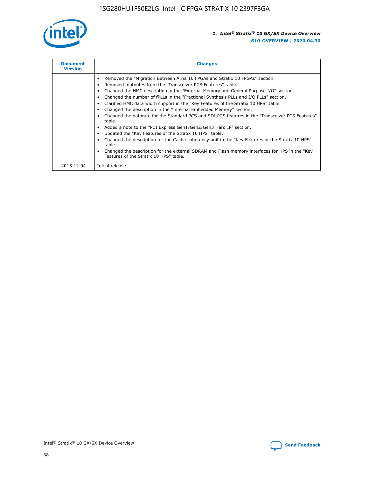

| <b>Document</b><br><b>Version</b> | <b>Changes</b>                                                                                                                                                                                                                                                                                                                                                                                                                                                                                                                                                                                                                                                                                                                                                                                                                                                                                                                                                                                     |  |
|-----------------------------------|----------------------------------------------------------------------------------------------------------------------------------------------------------------------------------------------------------------------------------------------------------------------------------------------------------------------------------------------------------------------------------------------------------------------------------------------------------------------------------------------------------------------------------------------------------------------------------------------------------------------------------------------------------------------------------------------------------------------------------------------------------------------------------------------------------------------------------------------------------------------------------------------------------------------------------------------------------------------------------------------------|--|
|                                   | Removed the "Migration Between Arria 10 FPGAs and Stratix 10 FPGAs" section.<br>Removed footnotes from the "Transceiver PCS Features" table.<br>Changed the HMC description in the "External Memory and General Purpose I/O" section.<br>Changed the number of fPLLs in the "Fractional Synthesis PLLs and I/O PLLs" section.<br>Clarified HMC data width support in the "Key Features of the Stratix 10 HPS" table.<br>Changed the description in the "Internal Embedded Memory" section.<br>Changed the datarate for the Standard PCS and SDI PCS features in the "Transceiver PCS Features"<br>table.<br>Added a note to the "PCI Express Gen1/Gen2/Gen3 Hard IP" section.<br>Updated the "Key Features of the Stratix 10 HPS" table.<br>Changed the description for the Cache coherency unit in the "Key Features of the Stratix 10 HPS"<br>table.<br>Changed the description for the external SDRAM and Flash memory interfaces for HPS in the "Key<br>Features of the Stratix 10 HPS" table. |  |
| 2015.12.04                        | Initial release.                                                                                                                                                                                                                                                                                                                                                                                                                                                                                                                                                                                                                                                                                                                                                                                                                                                                                                                                                                                   |  |